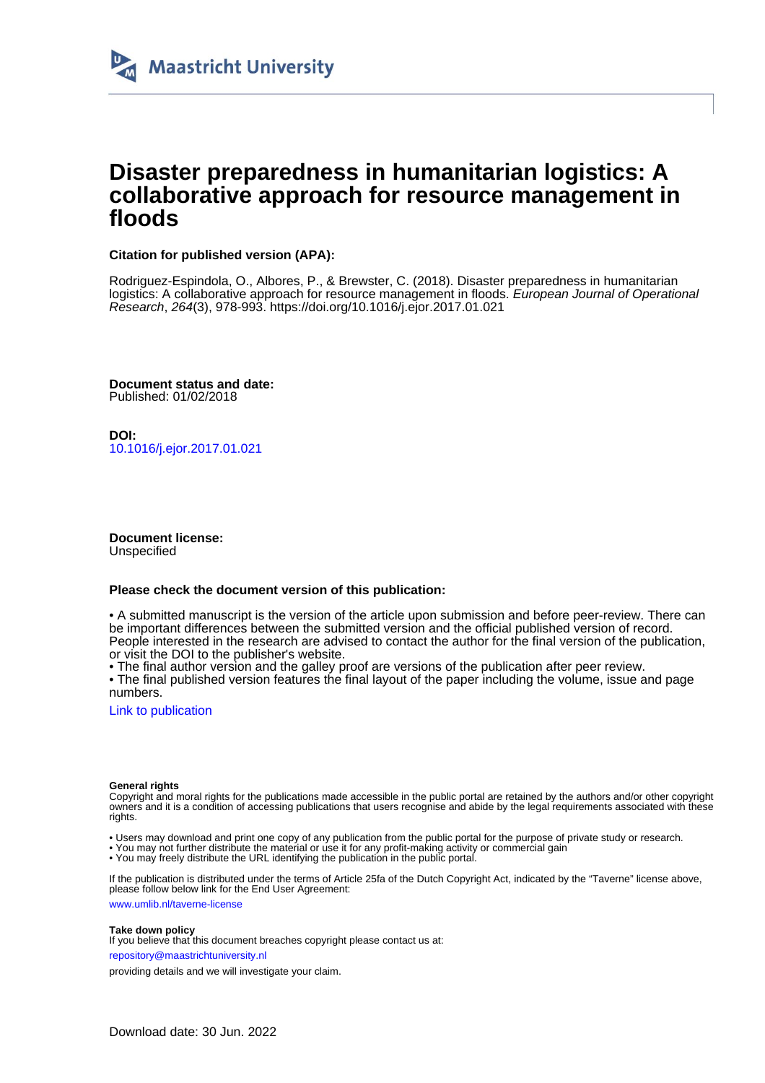

# **Disaster preparedness in humanitarian logistics: A collaborative approach for resource management in floods**

## **Citation for published version (APA):**

Rodriguez-Espindola, O., Albores, P., & Brewster, C. (2018). Disaster preparedness in humanitarian logistics: A collaborative approach for resource management in floods. European Journal of Operational Research, 264(3), 978-993.<https://doi.org/10.1016/j.ejor.2017.01.021>

**Document status and date:** Published: 01/02/2018

**DOI:** [10.1016/j.ejor.2017.01.021](https://doi.org/10.1016/j.ejor.2017.01.021)

**Document license:** Unspecified

#### **Please check the document version of this publication:**

• A submitted manuscript is the version of the article upon submission and before peer-review. There can be important differences between the submitted version and the official published version of record. People interested in the research are advised to contact the author for the final version of the publication, or visit the DOI to the publisher's website.

• The final author version and the galley proof are versions of the publication after peer review.

• The final published version features the final layout of the paper including the volume, issue and page numbers.

[Link to publication](https://cris.maastrichtuniversity.nl/en/publications/309e1f77-4589-43fb-9ff5-b1877fc9ad29)

#### **General rights**

Copyright and moral rights for the publications made accessible in the public portal are retained by the authors and/or other copyright owners and it is a condition of accessing publications that users recognise and abide by the legal requirements associated with these rights.

• Users may download and print one copy of any publication from the public portal for the purpose of private study or research.

• You may not further distribute the material or use it for any profit-making activity or commercial gain

• You may freely distribute the URL identifying the publication in the public portal.

If the publication is distributed under the terms of Article 25fa of the Dutch Copyright Act, indicated by the "Taverne" license above, please follow below link for the End User Agreement:

www.umlib.nl/taverne-license

#### **Take down policy**

If you believe that this document breaches copyright please contact us at:

repository@maastrichtuniversity.nl

providing details and we will investigate your claim.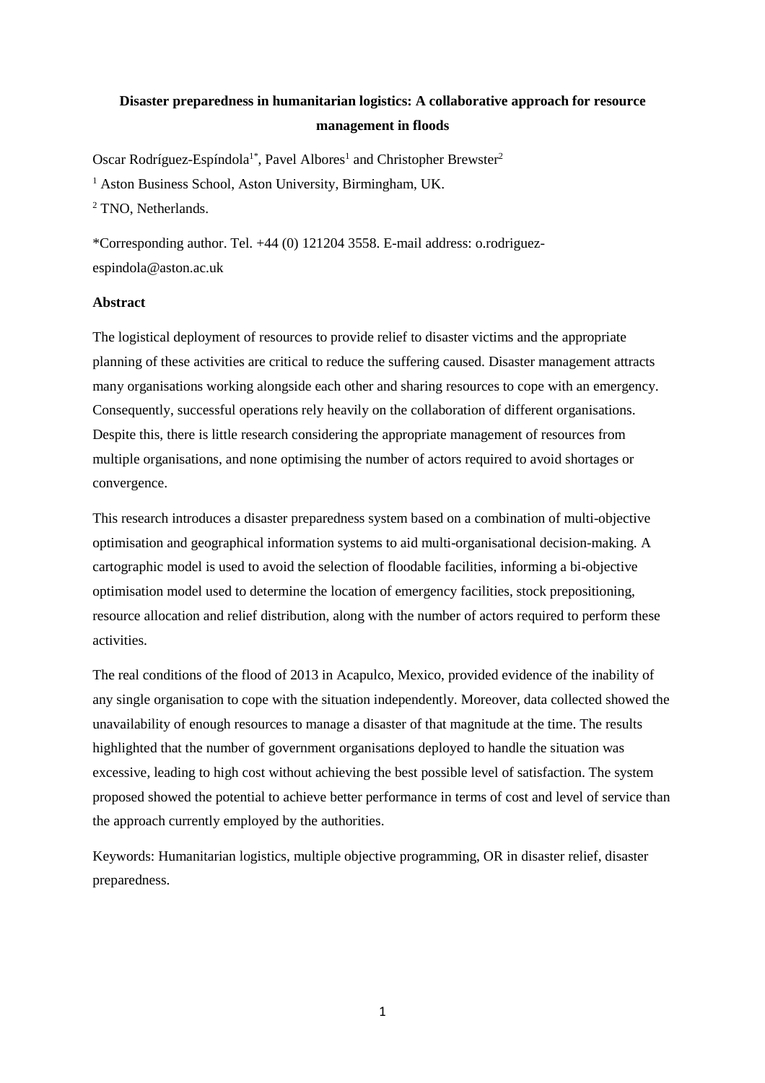## **Disaster preparedness in humanitarian logistics: A collaborative approach for resource management in floods**

Oscar Rodríguez-Espíndola<sup>1\*</sup>, Pavel Albores<sup>1</sup> and Christopher Brewster<sup>2</sup> <sup>1</sup> Aston Business School, Aston University, Birmingham, UK. 2 TNO, Netherlands.

\*Corresponding author. Tel. +44 (0) 121204 3558. E-mail address: o.rodriguezespindola@aston.ac.uk

## **Abstract**

The logistical deployment of resources to provide relief to disaster victims and the appropriate planning of these activities are critical to reduce the suffering caused. Disaster management attracts many organisations working alongside each other and sharing resources to cope with an emergency. Consequently, successful operations rely heavily on the collaboration of different organisations. Despite this, there is little research considering the appropriate management of resources from multiple organisations, and none optimising the number of actors required to avoid shortages or convergence.

This research introduces a disaster preparedness system based on a combination of multi-objective optimisation and geographical information systems to aid multi-organisational decision-making. A cartographic model is used to avoid the selection of floodable facilities, informing a bi-objective optimisation model used to determine the location of emergency facilities, stock prepositioning, resource allocation and relief distribution, along with the number of actors required to perform these activities.

The real conditions of the flood of 2013 in Acapulco, Mexico, provided evidence of the inability of any single organisation to cope with the situation independently. Moreover, data collected showed the unavailability of enough resources to manage a disaster of that magnitude at the time. The results highlighted that the number of government organisations deployed to handle the situation was excessive, leading to high cost without achieving the best possible level of satisfaction. The system proposed showed the potential to achieve better performance in terms of cost and level of service than the approach currently employed by the authorities.

Keywords: Humanitarian logistics, multiple objective programming, OR in disaster relief, disaster preparedness.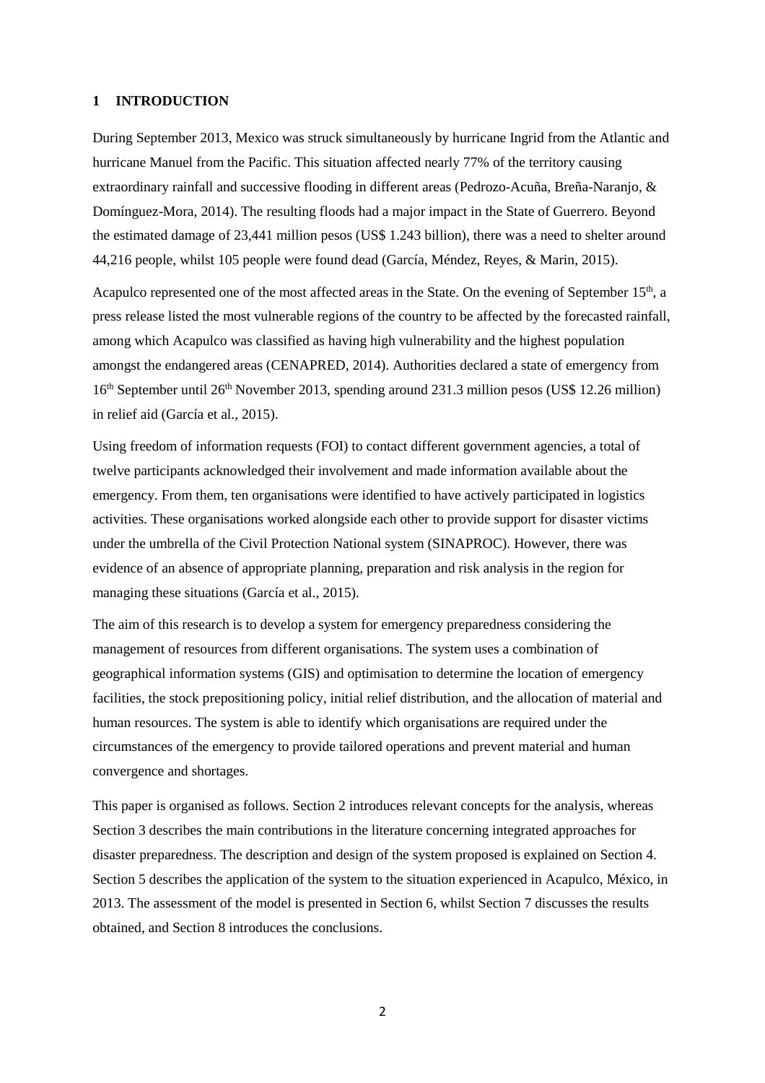### **1 INTRODUCTION**

During September 2013, Mexico was struck simultaneously by hurricane Ingrid from the Atlantic and hurricane Manuel from the Pacific. This situation affected nearly 77% of the territory causing extraordinary rainfall and successive flooding in different areas (Pedrozo-Acuña, Breña-Naranjo, & Domínguez-Mora, 2014). The resulting floods had a major impact in the State of Guerrero. Beyond the estimated damage of 23,441 million pesos (US\$ 1.243 billion), there was a need to shelter around 44,216 people, whilst 105 people were found dead (García, Méndez, Reyes, & Marin, 2015).

Acapulco represented one of the most affected areas in the State. On the evening of September  $15<sup>th</sup>$ , a press release listed the most vulnerable regions of the country to be affected by the forecasted rainfall, among which Acapulco was classified as having high vulnerability and the highest population amongst the endangered areas (CENAPRED, 2014). Authorities declared a state of emergency from 16th September until 26th November 2013, spending around 231.3 million pesos (US\$ 12.26 million) in relief aid (García et al., 2015).

Using freedom of information requests (FOI) to contact different government agencies, a total of twelve participants acknowledged their involvement and made information available about the emergency. From them, ten organisations were identified to have actively participated in logistics activities. These organisations worked alongside each other to provide support for disaster victims under the umbrella of the Civil Protection National system (SINAPROC). However, there was evidence of an absence of appropriate planning, preparation and risk analysis in the region for managing these situations (García et al., 2015).

The aim of this research is to develop a system for emergency preparedness considering the management of resources from different organisations. The system uses a combination of geographical information systems (GIS) and optimisation to determine the location of emergency facilities, the stock prepositioning policy, initial relief distribution, and the allocation of material and human resources. The system is able to identify which organisations are required under the circumstances of the emergency to provide tailored operations and prevent material and human convergence and shortages.

This paper is organised as follows. Section 2 introduces relevant concepts for the analysis, whereas Section 3 describes the main contributions in the literature concerning integrated approaches for disaster preparedness. The description and design of the system proposed is explained on Section 4. Section 5 describes the application of the system to the situation experienced in Acapulco, México, in 2013. The assessment of the model is presented in Section 6, whilst Section 7 discusses the results obtained, and Section 8 introduces the conclusions.

2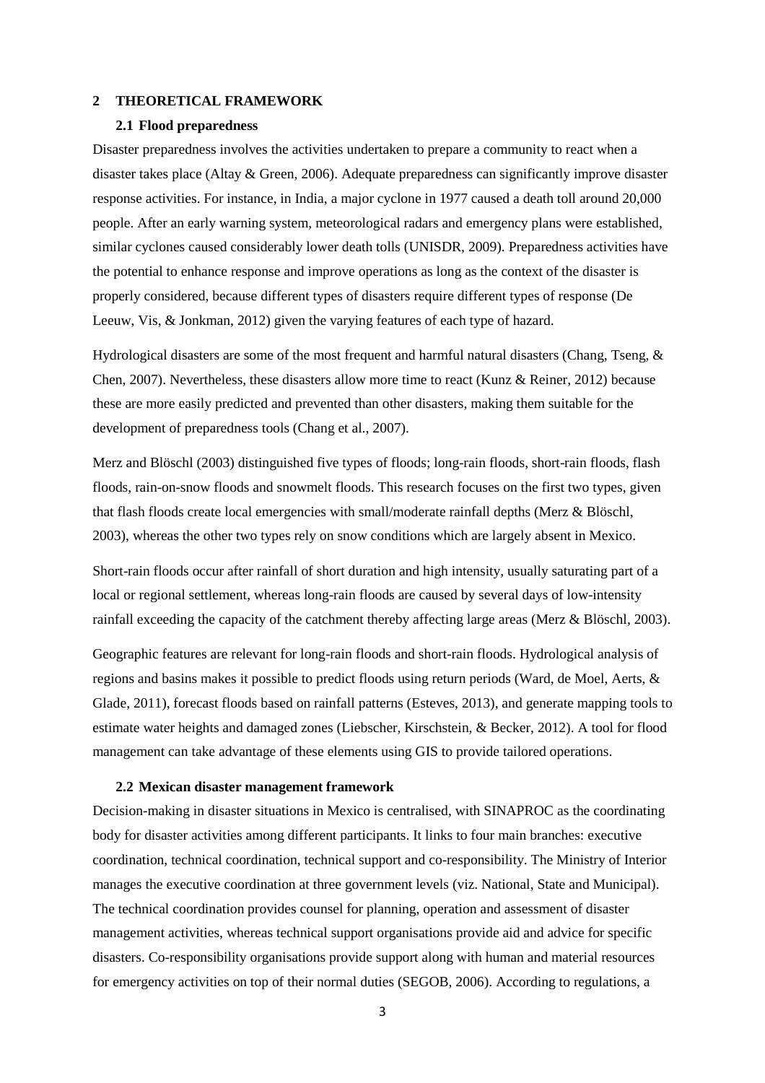#### **2 THEORETICAL FRAMEWORK**

#### **2.1 Flood preparedness**

Disaster preparedness involves the activities undertaken to prepare a community to react when a disaster takes place (Altay & Green, 2006). Adequate preparedness can significantly improve disaster response activities. For instance, in India, a major cyclone in 1977 caused a death toll around 20,000 people. After an early warning system, meteorological radars and emergency plans were established, similar cyclones caused considerably lower death tolls (UNISDR, 2009). Preparedness activities have the potential to enhance response and improve operations as long as the context of the disaster is properly considered, because different types of disasters require different types of response (De Leeuw, Vis, & Jonkman, 2012) given the varying features of each type of hazard.

Hydrological disasters are some of the most frequent and harmful natural disasters (Chang, Tseng, & Chen, 2007). Nevertheless, these disasters allow more time to react (Kunz & Reiner, 2012) because these are more easily predicted and prevented than other disasters, making them suitable for the development of preparedness tools (Chang et al., 2007).

Merz and Blöschl (2003) distinguished five types of floods; long-rain floods, short-rain floods, flash floods, rain-on-snow floods and snowmelt floods. This research focuses on the first two types, given that flash floods create local emergencies with small/moderate rainfall depths (Merz & Blöschl, 2003), whereas the other two types rely on snow conditions which are largely absent in Mexico.

Short-rain floods occur after rainfall of short duration and high intensity, usually saturating part of a local or regional settlement, whereas long-rain floods are caused by several days of low-intensity rainfall exceeding the capacity of the catchment thereby affecting large areas (Merz & Blöschl, 2003).

Geographic features are relevant for long-rain floods and short-rain floods. Hydrological analysis of regions and basins makes it possible to predict floods using return periods (Ward, de Moel, Aerts, & Glade, 2011), forecast floods based on rainfall patterns (Esteves, 2013), and generate mapping tools to estimate water heights and damaged zones (Liebscher, Kirschstein, & Becker, 2012). A tool for flood management can take advantage of these elements using GIS to provide tailored operations.

#### **2.2 Mexican disaster management framework**

Decision-making in disaster situations in Mexico is centralised, with SINAPROC as the coordinating body for disaster activities among different participants. It links to four main branches: executive coordination, technical coordination, technical support and co-responsibility. The Ministry of Interior manages the executive coordination at three government levels (viz. National, State and Municipal). The technical coordination provides counsel for planning, operation and assessment of disaster management activities, whereas technical support organisations provide aid and advice for specific disasters. Co-responsibility organisations provide support along with human and material resources for emergency activities on top of their normal duties (SEGOB, 2006). According to regulations, a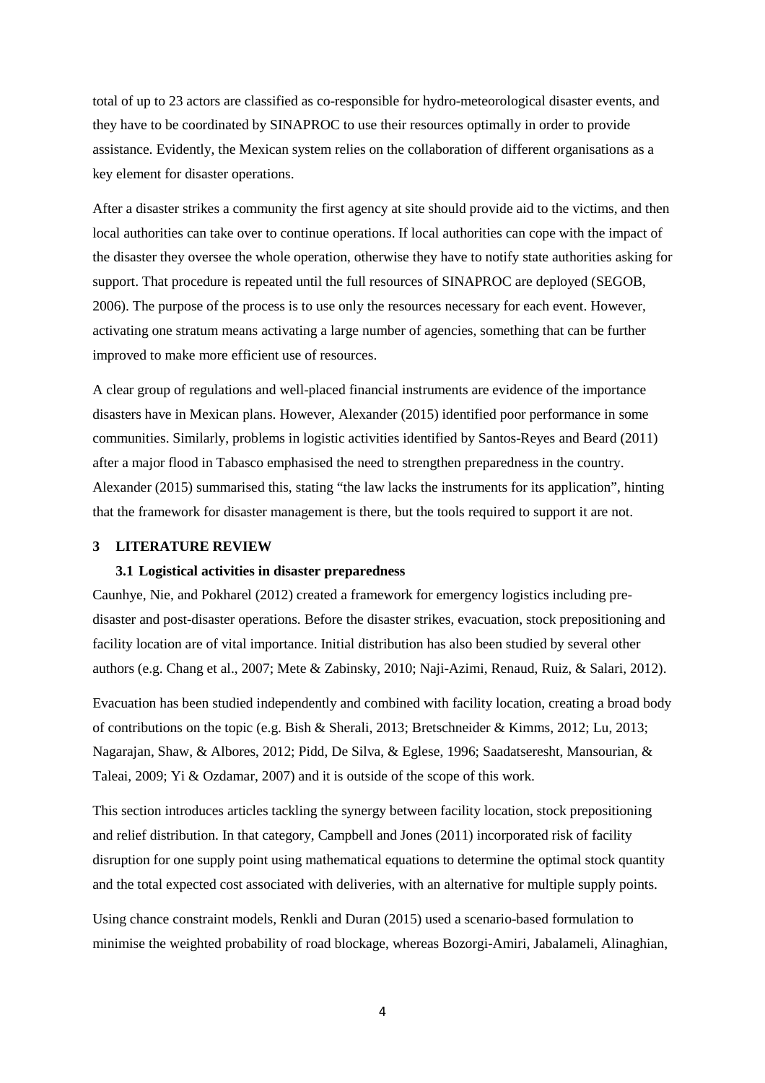total of up to 23 actors are classified as co-responsible for hydro-meteorological disaster events, and they have to be coordinated by SINAPROC to use their resources optimally in order to provide assistance. Evidently, the Mexican system relies on the collaboration of different organisations as a key element for disaster operations.

After a disaster strikes a community the first agency at site should provide aid to the victims, and then local authorities can take over to continue operations. If local authorities can cope with the impact of the disaster they oversee the whole operation, otherwise they have to notify state authorities asking for support. That procedure is repeated until the full resources of SINAPROC are deployed (SEGOB, 2006). The purpose of the process is to use only the resources necessary for each event. However, activating one stratum means activating a large number of agencies, something that can be further improved to make more efficient use of resources.

A clear group of regulations and well-placed financial instruments are evidence of the importance disasters have in Mexican plans. However, Alexander (2015) identified poor performance in some communities. Similarly, problems in logistic activities identified by Santos-Reyes and Beard (2011) after a major flood in Tabasco emphasised the need to strengthen preparedness in the country. Alexander (2015) summarised this, stating "the law lacks the instruments for its application", hinting that the framework for disaster management is there, but the tools required to support it are not.

## **3 LITERATURE REVIEW**

## **3.1 Logistical activities in disaster preparedness**

Caunhye, Nie, and Pokharel (2012) created a framework for emergency logistics including predisaster and post-disaster operations. Before the disaster strikes, evacuation, stock prepositioning and facility location are of vital importance. Initial distribution has also been studied by several other authors (e.g. Chang et al., 2007; Mete & Zabinsky, 2010; Naji-Azimi, Renaud, Ruiz, & Salari, 2012).

Evacuation has been studied independently and combined with facility location, creating a broad body of contributions on the topic (e.g. Bish & Sherali, 2013; Bretschneider & Kimms, 2012; Lu, 2013; Nagarajan, Shaw, & Albores, 2012; Pidd, De Silva, & Eglese, 1996; Saadatseresht, Mansourian, & Taleai, 2009; Yi & Ozdamar, 2007) and it is outside of the scope of this work.

This section introduces articles tackling the synergy between facility location, stock prepositioning and relief distribution. In that category, Campbell and Jones (2011) incorporated risk of facility disruption for one supply point using mathematical equations to determine the optimal stock quantity and the total expected cost associated with deliveries, with an alternative for multiple supply points.

Using chance constraint models, Renkli and Duran (2015) used a scenario-based formulation to minimise the weighted probability of road blockage, whereas Bozorgi-Amiri, Jabalameli, Alinaghian,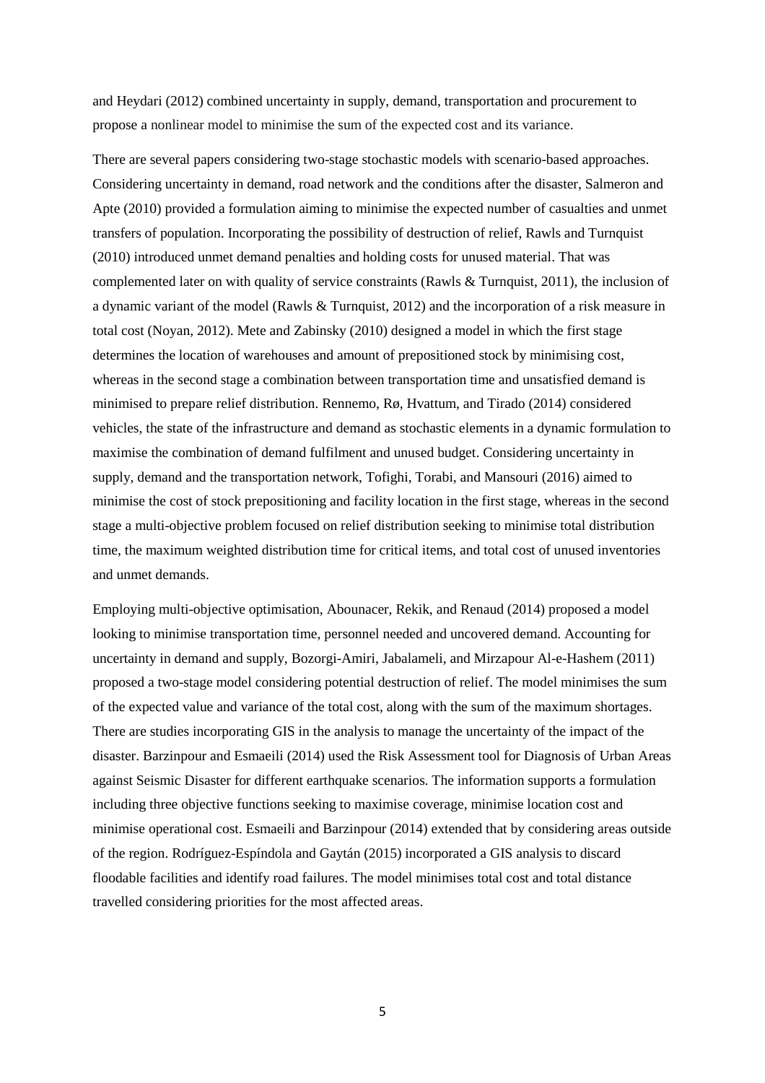and Heydari (2012) combined uncertainty in supply, demand, transportation and procurement to propose a nonlinear model to minimise the sum of the expected cost and its variance.

There are several papers considering two-stage stochastic models with scenario-based approaches. Considering uncertainty in demand, road network and the conditions after the disaster, Salmeron and Apte (2010) provided a formulation aiming to minimise the expected number of casualties and unmet transfers of population. Incorporating the possibility of destruction of relief, Rawls and Turnquist (2010) introduced unmet demand penalties and holding costs for unused material. That was complemented later on with quality of service constraints (Rawls & Turnquist, 2011), the inclusion of a dynamic variant of the model (Rawls & Turnquist, 2012) and the incorporation of a risk measure in total cost (Noyan, 2012). Mete and Zabinsky (2010) designed a model in which the first stage determines the location of warehouses and amount of prepositioned stock by minimising cost, whereas in the second stage a combination between transportation time and unsatisfied demand is minimised to prepare relief distribution. Rennemo, Rø, Hvattum, and Tirado (2014) considered vehicles, the state of the infrastructure and demand as stochastic elements in a dynamic formulation to maximise the combination of demand fulfilment and unused budget. Considering uncertainty in supply, demand and the transportation network, Tofighi, Torabi, and Mansouri (2016) aimed to minimise the cost of stock prepositioning and facility location in the first stage, whereas in the second stage a multi-objective problem focused on relief distribution seeking to minimise total distribution time, the maximum weighted distribution time for critical items, and total cost of unused inventories and unmet demands.

Employing multi-objective optimisation, Abounacer, Rekik, and Renaud (2014) proposed a model looking to minimise transportation time, personnel needed and uncovered demand. Accounting for uncertainty in demand and supply, Bozorgi-Amiri, Jabalameli, and Mirzapour Al-e-Hashem (2011) proposed a two-stage model considering potential destruction of relief. The model minimises the sum of the expected value and variance of the total cost, along with the sum of the maximum shortages. There are studies incorporating GIS in the analysis to manage the uncertainty of the impact of the disaster. Barzinpour and Esmaeili (2014) used the Risk Assessment tool for Diagnosis of Urban Areas against Seismic Disaster for different earthquake scenarios. The information supports a formulation including three objective functions seeking to maximise coverage, minimise location cost and minimise operational cost. Esmaeili and Barzinpour (2014) extended that by considering areas outside of the region. Rodríguez-Espíndola and Gaytán (2015) incorporated a GIS analysis to discard floodable facilities and identify road failures. The model minimises total cost and total distance travelled considering priorities for the most affected areas.

5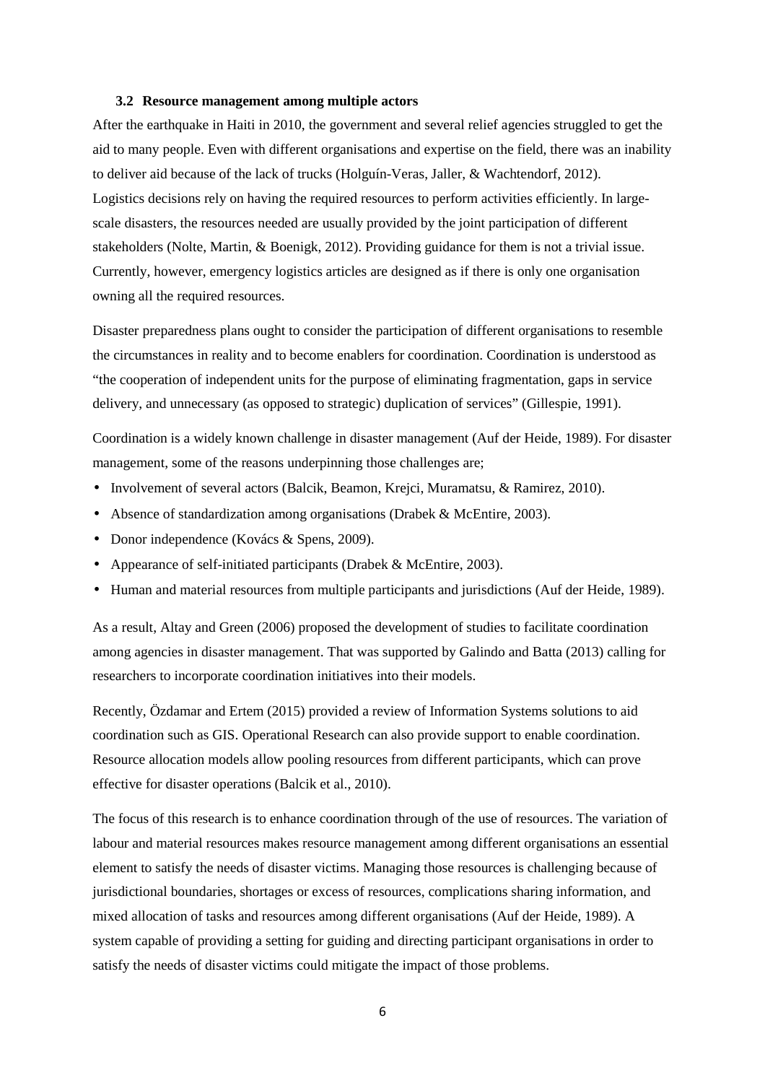### **3.2 Resource management among multiple actors**

After the earthquake in Haiti in 2010, the government and several relief agencies struggled to get the aid to many people. Even with different organisations and expertise on the field, there was an inability to deliver aid because of the lack of trucks (Holguín-Veras, Jaller, & Wachtendorf, 2012). Logistics decisions rely on having the required resources to perform activities efficiently. In largescale disasters, the resources needed are usually provided by the joint participation of different stakeholders (Nolte, Martin, & Boenigk, 2012). Providing guidance for them is not a trivial issue. Currently, however, emergency logistics articles are designed as if there is only one organisation owning all the required resources.

Disaster preparedness plans ought to consider the participation of different organisations to resemble the circumstances in reality and to become enablers for coordination. Coordination is understood as "the cooperation of independent units for the purpose of eliminating fragmentation, gaps in service delivery, and unnecessary (as opposed to strategic) duplication of services" (Gillespie, 1991).

Coordination is a widely known challenge in disaster management (Auf der Heide, 1989). For disaster management, some of the reasons underpinning those challenges are;

- Involvement of several actors (Balcik, Beamon, Krejci, Muramatsu, & Ramirez, 2010).
- Absence of standardization among organisations (Drabek & McEntire, 2003).
- Donor independence (Kovács & Spens, 2009).
- Appearance of self-initiated participants (Drabek & McEntire, 2003).
- Human and material resources from multiple participants and jurisdictions (Auf der Heide, 1989).

As a result, Altay and Green (2006) proposed the development of studies to facilitate coordination among agencies in disaster management. That was supported by Galindo and Batta (2013) calling for researchers to incorporate coordination initiatives into their models.

Recently, Özdamar and Ertem (2015) provided a review of Information Systems solutions to aid coordination such as GIS. Operational Research can also provide support to enable coordination. Resource allocation models allow pooling resources from different participants, which can prove effective for disaster operations (Balcik et al., 2010).

The focus of this research is to enhance coordination through of the use of resources. The variation of labour and material resources makes resource management among different organisations an essential element to satisfy the needs of disaster victims. Managing those resources is challenging because of jurisdictional boundaries, shortages or excess of resources, complications sharing information, and mixed allocation of tasks and resources among different organisations (Auf der Heide, 1989). A system capable of providing a setting for guiding and directing participant organisations in order to satisfy the needs of disaster victims could mitigate the impact of those problems.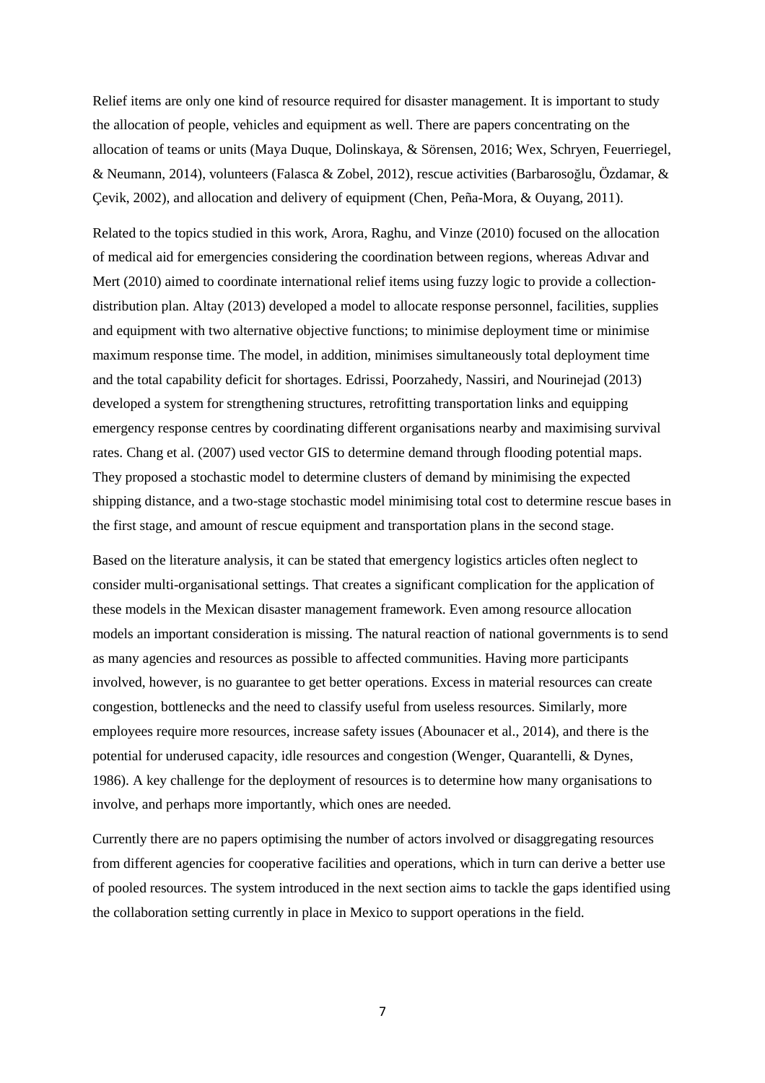Relief items are only one kind of resource required for disaster management. It is important to study the allocation of people, vehicles and equipment as well. There are papers concentrating on the allocation of teams or units (Maya Duque, Dolinskaya, & Sörensen, 2016; Wex, Schryen, Feuerriegel, & Neumann, 2014), volunteers (Falasca & Zobel, 2012), rescue activities (Barbarosoğlu, Özdamar, & Çevik, 2002), and allocation and delivery of equipment (Chen, Peña-Mora, & Ouyang, 2011).

Related to the topics studied in this work, Arora, Raghu, and Vinze (2010) focused on the allocation of medical aid for emergencies considering the coordination between regions, whereas Adıvar and Mert (2010) aimed to coordinate international relief items using fuzzy logic to provide a collectiondistribution plan. Altay (2013) developed a model to allocate response personnel, facilities, supplies and equipment with two alternative objective functions; to minimise deployment time or minimise maximum response time. The model, in addition, minimises simultaneously total deployment time and the total capability deficit for shortages. Edrissi, Poorzahedy, Nassiri, and Nourinejad (2013) developed a system for strengthening structures, retrofitting transportation links and equipping emergency response centres by coordinating different organisations nearby and maximising survival rates. Chang et al. (2007) used vector GIS to determine demand through flooding potential maps. They proposed a stochastic model to determine clusters of demand by minimising the expected shipping distance, and a two-stage stochastic model minimising total cost to determine rescue bases in the first stage, and amount of rescue equipment and transportation plans in the second stage.

Based on the literature analysis, it can be stated that emergency logistics articles often neglect to consider multi-organisational settings. That creates a significant complication for the application of these models in the Mexican disaster management framework. Even among resource allocation models an important consideration is missing. The natural reaction of national governments is to send as many agencies and resources as possible to affected communities. Having more participants involved, however, is no guarantee to get better operations. Excess in material resources can create congestion, bottlenecks and the need to classify useful from useless resources. Similarly, more employees require more resources, increase safety issues (Abounacer et al., 2014), and there is the potential for underused capacity, idle resources and congestion (Wenger, Quarantelli, & Dynes, 1986). A key challenge for the deployment of resources is to determine how many organisations to involve, and perhaps more importantly, which ones are needed.

Currently there are no papers optimising the number of actors involved or disaggregating resources from different agencies for cooperative facilities and operations, which in turn can derive a better use of pooled resources. The system introduced in the next section aims to tackle the gaps identified using the collaboration setting currently in place in Mexico to support operations in the field.

7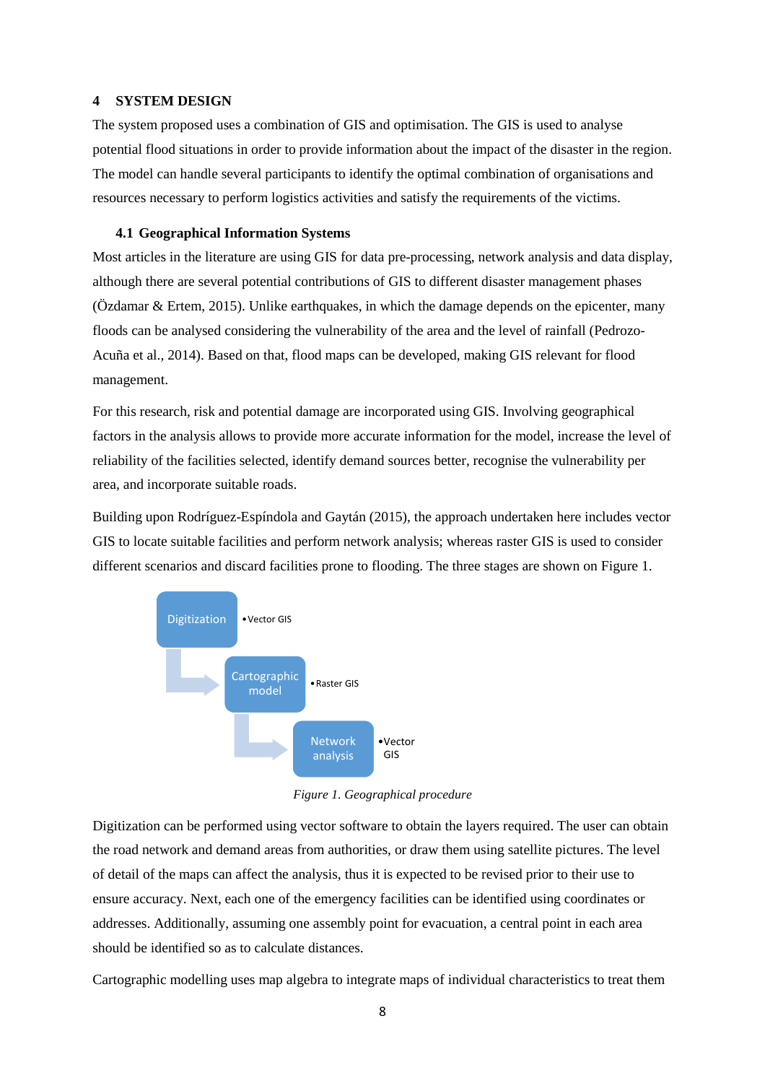## **4 SYSTEM DESIGN**

The system proposed uses a combination of GIS and optimisation. The GIS is used to analyse potential flood situations in order to provide information about the impact of the disaster in the region. The model can handle several participants to identify the optimal combination of organisations and resources necessary to perform logistics activities and satisfy the requirements of the victims.

## **4.1 Geographical Information Systems**

Most articles in the literature are using GIS for data pre-processing, network analysis and data display, although there are several potential contributions of GIS to different disaster management phases  $\overline{O}$  ( $\overline{O}$ zdamar & Ertem, 2015). Unlike earthquakes, in which the damage depends on the epicenter, many floods can be analysed considering the vulnerability of the area and the level of rainfall (Pedrozo-Acuña et al., 2014). Based on that, flood maps can be developed, making GIS relevant for flood management.

For this research, risk and potential damage are incorporated using GIS. Involving geographical factors in the analysis allows to provide more accurate information for the model, increase the level of reliability of the facilities selected, identify demand sources better, recognise the vulnerability per area, and incorporate suitable roads.

Building upon Rodríguez-Espíndola and Gaytán (2015), the approach undertaken here includes vector GIS to locate suitable facilities and perform network analysis; whereas raster GIS is used to consider different scenarios and discard facilities prone to flooding. The three stages are shown on Figure 1.



*Figure 1. Geographical procedure* 

Digitization can be performed using vector software to obtain the layers required. The user can obtain the road network and demand areas from authorities, or draw them using satellite pictures. The level of detail of the maps can affect the analysis, thus it is expected to be revised prior to their use to ensure accuracy. Next, each one of the emergency facilities can be identified using coordinates or addresses. Additionally, assuming one assembly point for evacuation, a central point in each area should be identified so as to calculate distances.

Cartographic modelling uses map algebra to integrate maps of individual characteristics to treat them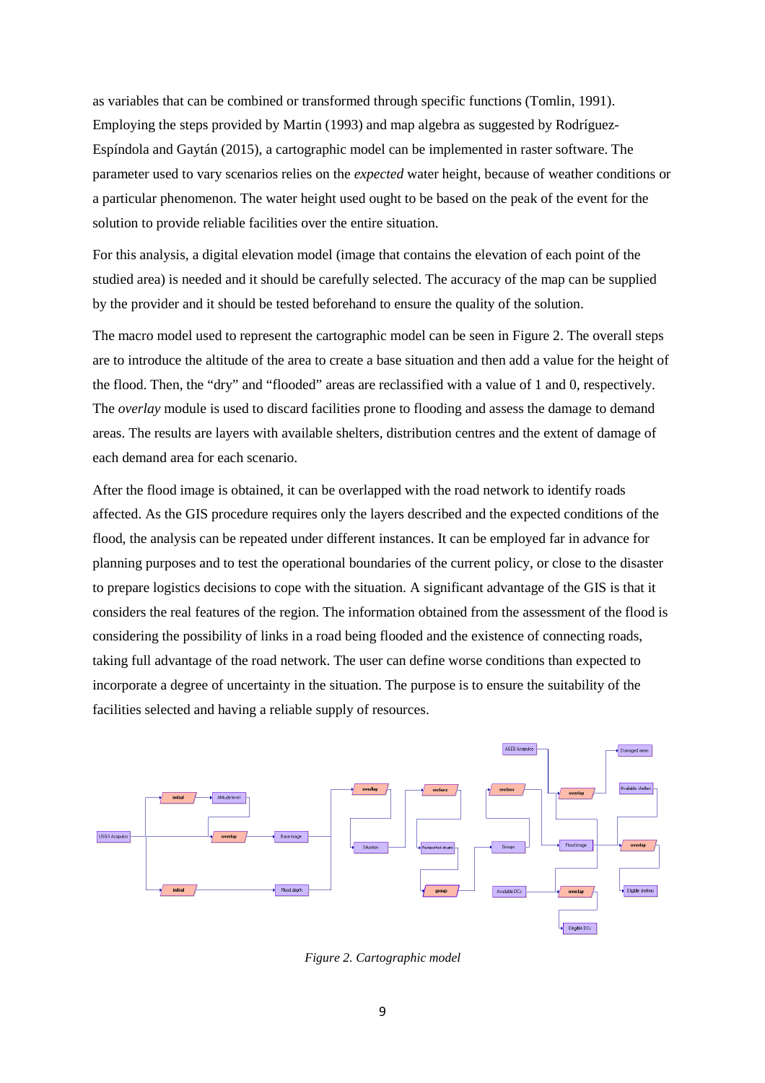as variables that can be combined or transformed through specific functions (Tomlin, 1991). Employing the steps provided by Martin (1993) and map algebra as suggested by Rodríguez-Espíndola and Gaytán (2015), a cartographic model can be implemented in raster software. The parameter used to vary scenarios relies on the *expected* water height, because of weather conditions or a particular phenomenon. The water height used ought to be based on the peak of the event for the solution to provide reliable facilities over the entire situation.

For this analysis, a digital elevation model (image that contains the elevation of each point of the studied area) is needed and it should be carefully selected. The accuracy of the map can be supplied by the provider and it should be tested beforehand to ensure the quality of the solution.

The macro model used to represent the cartographic model can be seen in Figure 2. The overall steps are to introduce the altitude of the area to create a base situation and then add a value for the height of the flood. Then, the "dry" and "flooded" areas are reclassified with a value of 1 and 0, respectively. The *overlay* module is used to discard facilities prone to flooding and assess the damage to demand areas. The results are layers with available shelters, distribution centres and the extent of damage of each demand area for each scenario.

After the flood image is obtained, it can be overlapped with the road network to identify roads affected. As the GIS procedure requires only the layers described and the expected conditions of the flood, the analysis can be repeated under different instances. It can be employed far in advance for planning purposes and to test the operational boundaries of the current policy, or close to the disaster to prepare logistics decisions to cope with the situation. A significant advantage of the GIS is that it considers the real features of the region. The information obtained from the assessment of the flood is considering the possibility of links in a road being flooded and the existence of connecting roads, taking full advantage of the road network. The user can define worse conditions than expected to incorporate a degree of uncertainty in the situation. The purpose is to ensure the suitability of the facilities selected and having a reliable supply of resources.



*Figure 2. Cartographic model*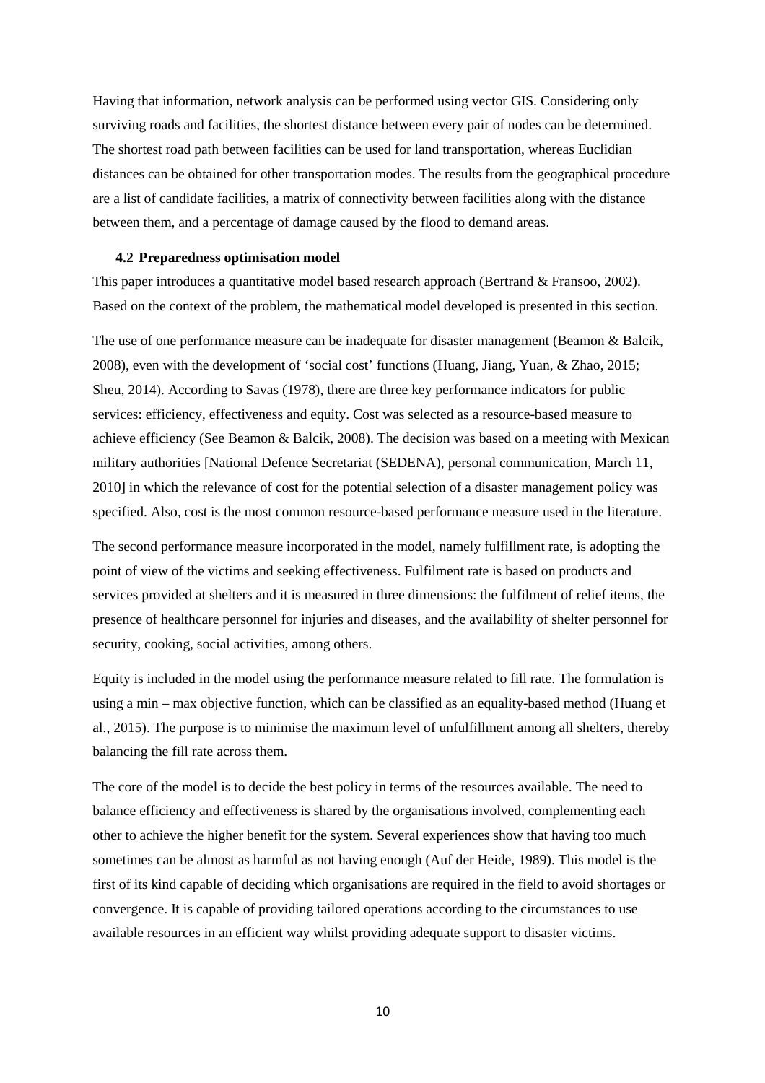Having that information, network analysis can be performed using vector GIS. Considering only surviving roads and facilities, the shortest distance between every pair of nodes can be determined. The shortest road path between facilities can be used for land transportation, whereas Euclidian distances can be obtained for other transportation modes. The results from the geographical procedure are a list of candidate facilities, a matrix of connectivity between facilities along with the distance between them, and a percentage of damage caused by the flood to demand areas.

#### **4.2 Preparedness optimisation model**

This paper introduces a quantitative model based research approach (Bertrand & Fransoo, 2002). Based on the context of the problem, the mathematical model developed is presented in this section.

The use of one performance measure can be inadequate for disaster management (Beamon & Balcik, 2008), even with the development of 'social cost' functions (Huang, Jiang, Yuan, & Zhao, 2015; Sheu, 2014). According to Savas (1978), there are three key performance indicators for public services: efficiency, effectiveness and equity. Cost was selected as a resource-based measure to achieve efficiency (See Beamon & Balcik, 2008). The decision was based on a meeting with Mexican military authorities [National Defence Secretariat (SEDENA), personal communication, March 11, 2010] in which the relevance of cost for the potential selection of a disaster management policy was specified. Also, cost is the most common resource-based performance measure used in the literature.

The second performance measure incorporated in the model, namely fulfillment rate, is adopting the point of view of the victims and seeking effectiveness. Fulfilment rate is based on products and services provided at shelters and it is measured in three dimensions: the fulfilment of relief items, the presence of healthcare personnel for injuries and diseases, and the availability of shelter personnel for security, cooking, social activities, among others.

Equity is included in the model using the performance measure related to fill rate. The formulation is using a min – max objective function, which can be classified as an equality-based method (Huang et al., 2015). The purpose is to minimise the maximum level of unfulfillment among all shelters, thereby balancing the fill rate across them.

The core of the model is to decide the best policy in terms of the resources available. The need to balance efficiency and effectiveness is shared by the organisations involved, complementing each other to achieve the higher benefit for the system. Several experiences show that having too much sometimes can be almost as harmful as not having enough (Auf der Heide, 1989). This model is the first of its kind capable of deciding which organisations are required in the field to avoid shortages or convergence. It is capable of providing tailored operations according to the circumstances to use available resources in an efficient way whilst providing adequate support to disaster victims.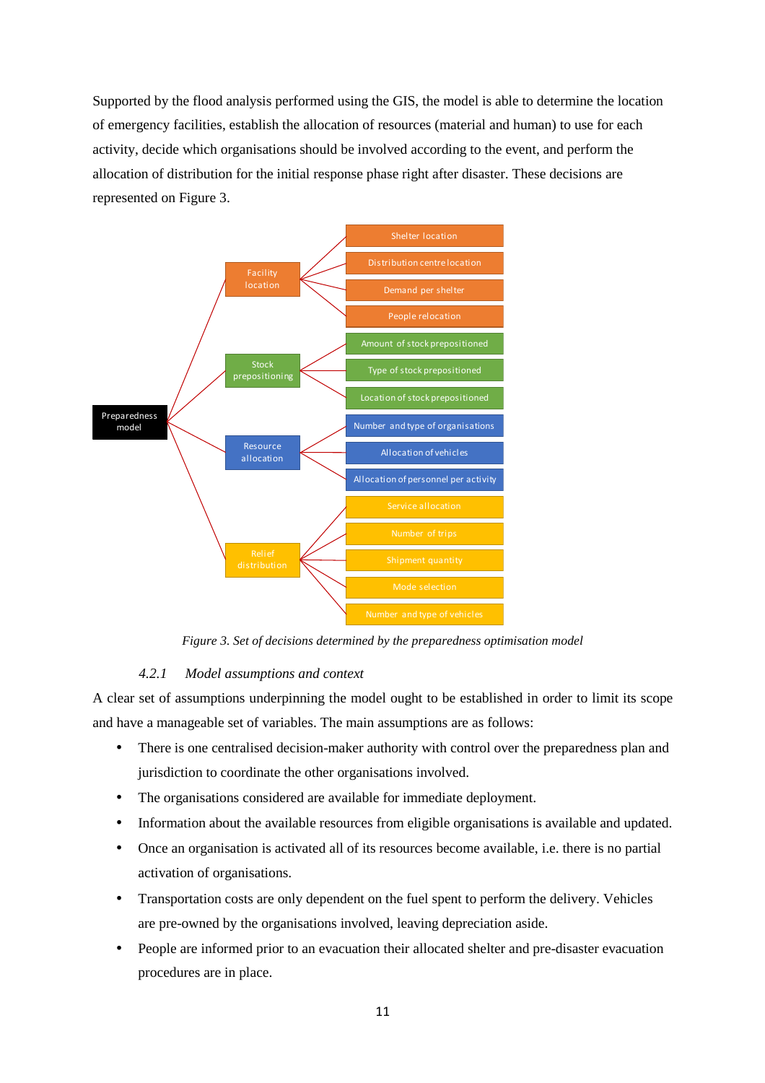Supported by the flood analysis performed using the GIS, the model is able to determine the location of emergency facilities, establish the allocation of resources (material and human) to use for each activity, decide which organisations should be involved according to the event, and perform the allocation of distribution for the initial response phase right after disaster. These decisions are represented on Figure 3.



*Figure 3. Set of decisions determined by the preparedness optimisation model* 

## *4.2.1 Model assumptions and context*

A clear set of assumptions underpinning the model ought to be established in order to limit its scope and have a manageable set of variables. The main assumptions are as follows:

- There is one centralised decision-maker authority with control over the preparedness plan and jurisdiction to coordinate the other organisations involved.
- The organisations considered are available for immediate deployment.
- Information about the available resources from eligible organisations is available and updated.
- Once an organisation is activated all of its resources become available, i.e. there is no partial activation of organisations.
- Transportation costs are only dependent on the fuel spent to perform the delivery. Vehicles are pre-owned by the organisations involved, leaving depreciation aside.
- People are informed prior to an evacuation their allocated shelter and pre-disaster evacuation procedures are in place.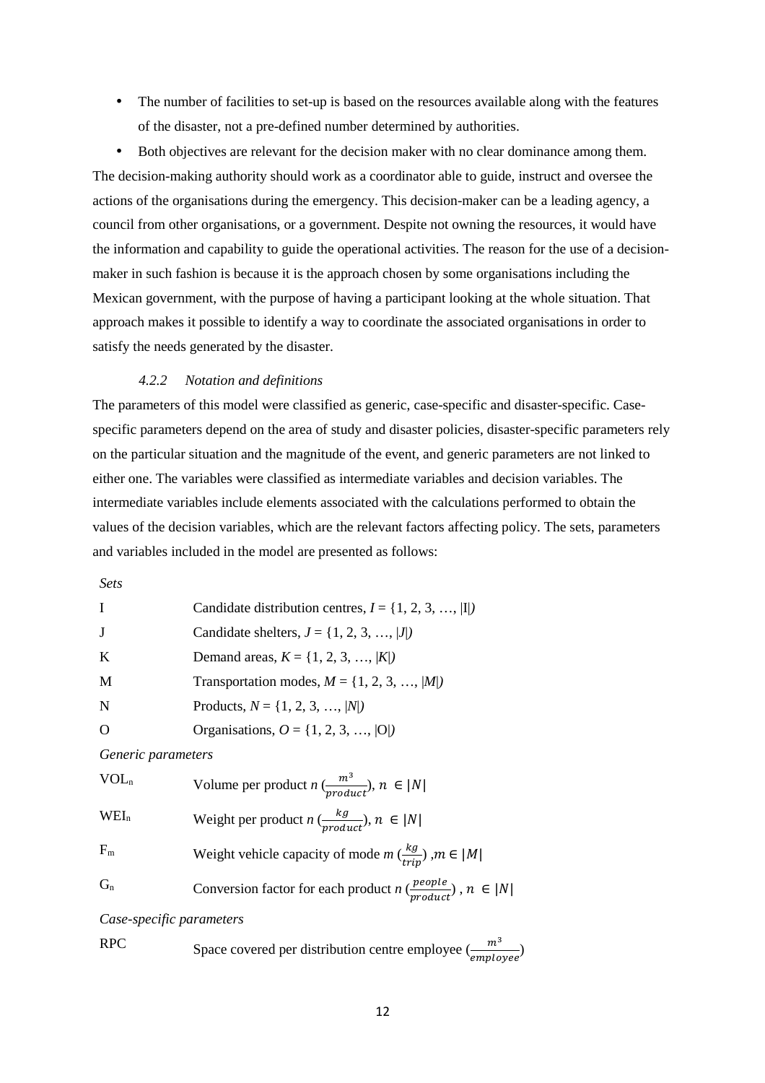• The number of facilities to set-up is based on the resources available along with the features of the disaster, not a pre-defined number determined by authorities.

• Both objectives are relevant for the decision maker with no clear dominance among them. The decision-making authority should work as a coordinator able to guide, instruct and oversee the actions of the organisations during the emergency. This decision-maker can be a leading agency, a council from other organisations, or a government. Despite not owning the resources, it would have the information and capability to guide the operational activities. The reason for the use of a decisionmaker in such fashion is because it is the approach chosen by some organisations including the Mexican government, with the purpose of having a participant looking at the whole situation. That approach makes it possible to identify a way to coordinate the associated organisations in order to satisfy the needs generated by the disaster.

## *4.2.2 Notation and definitions*

The parameters of this model were classified as generic, case-specific and disaster-specific. Casespecific parameters depend on the area of study and disaster policies, disaster-specific parameters rely on the particular situation and the magnitude of the event, and generic parameters are not linked to either one. The variables were classified as intermediate variables and decision variables. The intermediate variables include elements associated with the calculations performed to obtain the values of the decision variables, which are the relevant factors affecting policy. The sets, parameters and variables included in the model are presented as follows:

*Sets* 

| $\mathbf I$                              | Candidate distribution centres, $I = \{1, 2, 3, ,  I \}$                 |
|------------------------------------------|--------------------------------------------------------------------------|
| J                                        | Candidate shelters, $J = \{1, 2, 3, ,  J \}$                             |
| K                                        | Demand areas, $K = \{1, 2, 3, ,  K \}$                                   |
| M                                        | Transportation modes, $M = \{1, 2, 3, ,  M \}$                           |
| N                                        | Products, $N = \{1, 2, 3, ,  N \}$                                       |
| $\Omega$                                 | Organisations, $O = \{1, 2, 3, ,  O \}$                                  |
| Generic parameters                       |                                                                          |
| $\text{VOL}_{\scriptscriptstyle{\sf m}}$ | Volume per product $n\left(\frac{m^3}{\text{product}}, n \in  N \right)$ |

| $WEI_n$ | Weight per product $n \left( \frac{kg}{product} \right), n \in  N $ |  |  |
|---------|---------------------------------------------------------------------|--|--|
|---------|---------------------------------------------------------------------|--|--|

| $F_m$ | Weight vehicle capacity of mode $m\left(\frac{kg}{trip}\right)$ , $m \in  M $ |  |
|-------|-------------------------------------------------------------------------------|--|
|       |                                                                               |  |

 $G_n$  Conversion factor for each product *n*  $\frac{people}{\left(\text{model}\right)}$  $\frac{pe_{\theta}pe_{\theta}}{product}$ ,  $n \in |N|$ 

*Case-specific parameters* 

RPC Space covered per distribution centre employee  $\left(\frac{m^3}{\text{m/s}}\right)$  $\frac{m}{employee}$ )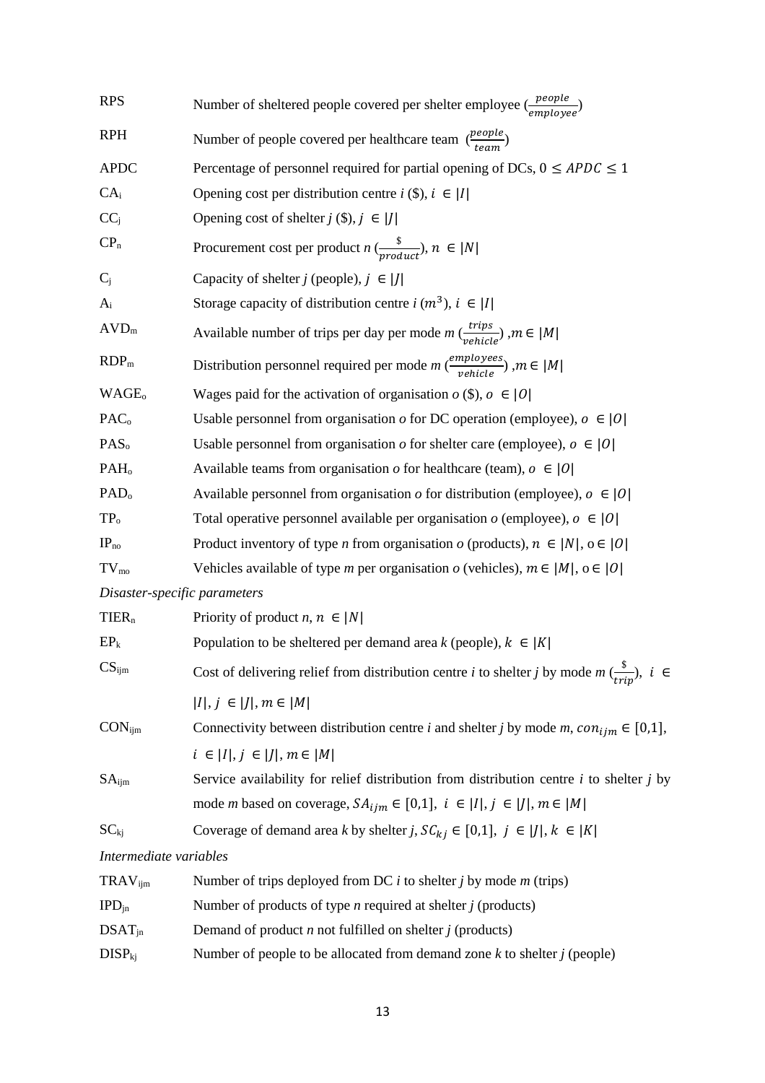| <b>RPS</b>                   | Number of sheltered people covered per shelter employee $\frac{people}{emabove}$                                                 |
|------------------------------|----------------------------------------------------------------------------------------------------------------------------------|
| <b>RPH</b>                   | Number of people covered per healthcare team $\left(\frac{people}{team}\right)$                                                  |
| <b>APDC</b>                  | Percentage of personnel required for partial opening of DCs, $0 \leq APDC \leq 1$                                                |
| CA <sub>i</sub>              | Opening cost per distribution centre $i$ (\$), $i \in  I $                                                                       |
| $CC_j$                       | Opening cost of shelter $j$ (\$), $j \in  J $                                                                                    |
| $CP_n$                       | Procurement cost per product $n\left(\frac{\$}{product}\right), n \in  N $                                                       |
| $C_i$                        | Capacity of shelter <i>j</i> (people), $j \in  J $                                                                               |
| $A_i$                        | Storage capacity of distribution centre $i$ ( $m^3$ ), $i \in  I $                                                               |
| AVD <sub>m</sub>             | Available number of trips per day per mode $m\left(\frac{trips}{vehicle}\right), m \in  M $                                      |
| RDP <sub>m</sub>             | Distribution personnel required per mode $m\left(\frac{employpes}{\text{nothick}}\right)$ , $m \in  M $                          |
| WAGE <sub>o</sub>            | Wages paid for the activation of organisation $o$ (\$), $o \in  O $                                                              |
| PAC <sub>o</sub>             | Usable personnel from organisation $o$ for DC operation (employee), $o \in  O $                                                  |
| PAS <sub>o</sub>             | Usable personnel from organisation $o$ for shelter care (employee), $o \in  O $                                                  |
| PAH <sub>o</sub>             | Available teams from organisation $o$ for healthcare (team), $o \in  O $                                                         |
| PAD <sub>o</sub>             | Available personnel from organisation $o$ for distribution (employee), $o \in  O $                                               |
| TP <sub>o</sub>              | Total operative personnel available per organisation $o$ (employee), $o \in  O $                                                 |
| $IP_{no}$                    | Product inventory of type <i>n</i> from organisation <i>o</i> (products), $n \in  N $ , $o \in  O $                              |
| TV <sub>mo</sub>             | Vehicles available of type <i>m</i> per organisation <i>o</i> (vehicles), $m \in  M $ , $o \in  O $                              |
| Disaster-specific parameters |                                                                                                                                  |
| $TIER_n$                     | Priority of product $n, n \in  N $                                                                                               |
| $EP_k$                       | Population to be sheltered per demand area k (people), $k \in  K $                                                               |
| $\mathbf{CS}_{ijm}$          | Cost of delivering relief from distribution centre <i>i</i> to shelter <i>j</i> by mode $m\left(\frac{s}{triv}\right)$ , $i \in$ |
|                              | $ I , j \in  J , m \in  M $                                                                                                      |
| $CON_{ijm}$                  | Connectivity between distribution centre <i>i</i> and shelter <i>j</i> by mode <i>m</i> , $con_{ijm} \in [0,1]$ ,                |
|                              | $i \in  I , j \in  J , m \in  M $                                                                                                |
| $SA_{ijm}$                   | Service availability for relief distribution from distribution centre $i$ to shelter $j$ by                                      |
|                              | mode <i>m</i> based on coverage, $SA_{ijm} \in [0,1]$ , $i \in  I $ , $j \in  J $ , $m \in  M $                                  |
| $SC_{kj}$                    | Coverage of demand area k by shelter j, $SC_{kj} \in [0,1]$ , $j \in  J $ , $k \in  K $                                          |
| Intermediate variables       |                                                                                                                                  |
| $TRAV_{ijm}$                 | Number of trips deployed from DC $i$ to shelter $j$ by mode $m$ (trips)                                                          |
| $IPD_{in}$                   | Number of products of type $n$ required at shelter $j$ (products)                                                                |
| $DSAT_{jn}$                  | Demand of product $n$ not fulfilled on shelter $j$ (products)                                                                    |
|                              |                                                                                                                                  |

DISP<sub>kj</sub> Number of people to be allocated from demand zone *k* to shelter *j* (people)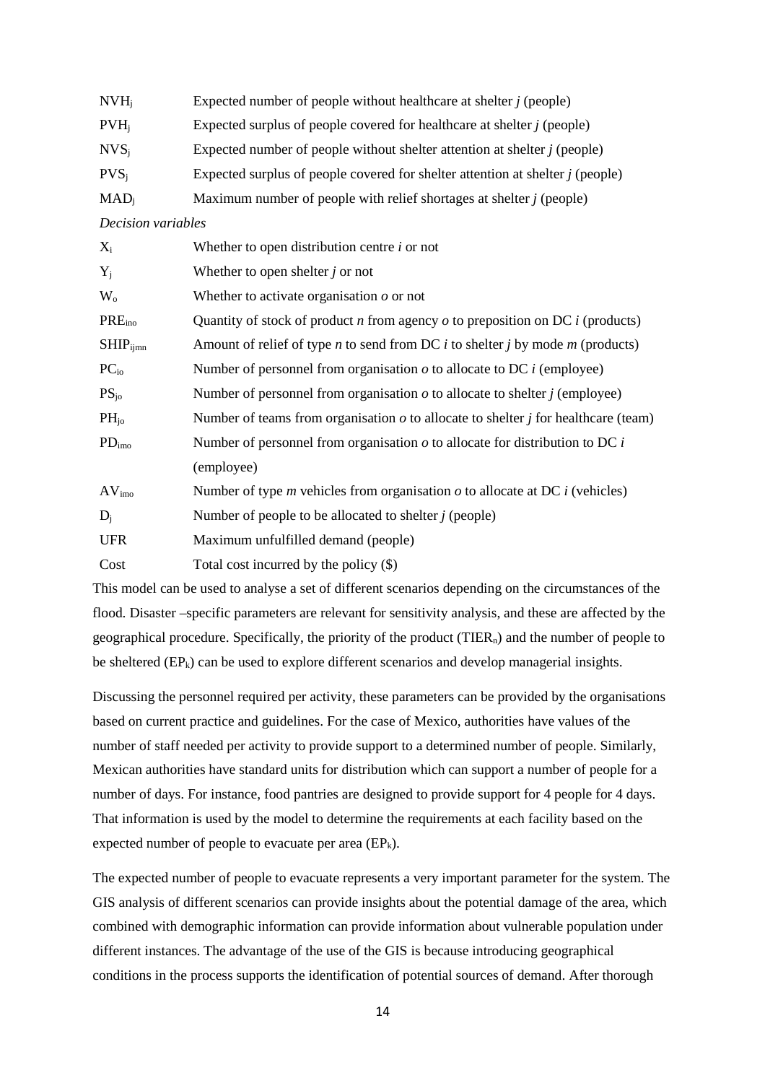| $NVH_i$                | Expected number of people without healthcare at shelter $j$ (people)                        |
|------------------------|---------------------------------------------------------------------------------------------|
| $PVH_i$                | Expected surplus of people covered for healthcare at shelter $j$ (people)                   |
| NVS <sub>i</sub>       | Expected number of people without shelter attention at shelter $j$ (people)                 |
| PVS <sub>i</sub>       | Expected surplus of people covered for shelter attention at shelter $j$ (people)            |
| $MAD_i$                | Maximum number of people with relief shortages at shelter $j$ (people)                      |
| Decision variables     |                                                                                             |
| $X_i$                  | Whether to open distribution centre $i$ or not                                              |
| $Y_i$                  | Whether to open shelter $j$ or not                                                          |
| $W_{o}$                | Whether to activate organisation $\rho$ or not                                              |
| PRE <sub>ino</sub>     | Quantity of stock of product <i>n</i> from agency $o$ to preposition on DC $i$ (products)   |
| $SHIP$ <sub>ijmn</sub> | Amount of relief of type <i>n</i> to send from DC $i$ to shelter $j$ by mode $m$ (products) |
| $PC_{io}$              | Number of personnel from organisation $o$ to allocate to DC $i$ (employee)                  |
| $PS_{10}$              | Number of personnel from organisation $o$ to allocate to shelter $j$ (employee)             |
| PH <sub>io</sub>       | Number of teams from organisation $o$ to allocate to shelter $j$ for healthcare (team)      |
| $PD_{\text{imo}}$      | Number of personnel from organisation $o$ to allocate for distribution to DC $i$            |
|                        | (employee)                                                                                  |
| AV <sub>imo</sub>      | Number of type $m$ vehicles from organisation $o$ to allocate at DC $i$ (vehicles)          |
| $D_i$                  | Number of people to be allocated to shelter $j$ (people)                                    |
| <b>UFR</b>             | Maximum unfulfilled demand (people)                                                         |
| Cost                   | Total cost incurred by the policy $(\$)$                                                    |

This model can be used to analyse a set of different scenarios depending on the circumstances of the flood. Disaster –specific parameters are relevant for sensitivity analysis, and these are affected by the geographical procedure. Specifically, the priority of the product (TIERn) and the number of people to be sheltered  $(EP_k)$  can be used to explore different scenarios and develop managerial insights.

Discussing the personnel required per activity, these parameters can be provided by the organisations based on current practice and guidelines. For the case of Mexico, authorities have values of the number of staff needed per activity to provide support to a determined number of people. Similarly, Mexican authorities have standard units for distribution which can support a number of people for a number of days. For instance, food pantries are designed to provide support for 4 people for 4 days. That information is used by the model to determine the requirements at each facility based on the expected number of people to evacuate per area  $(EP_k)$ .

The expected number of people to evacuate represents a very important parameter for the system. The GIS analysis of different scenarios can provide insights about the potential damage of the area, which combined with demographic information can provide information about vulnerable population under different instances. The advantage of the use of the GIS is because introducing geographical conditions in the process supports the identification of potential sources of demand. After thorough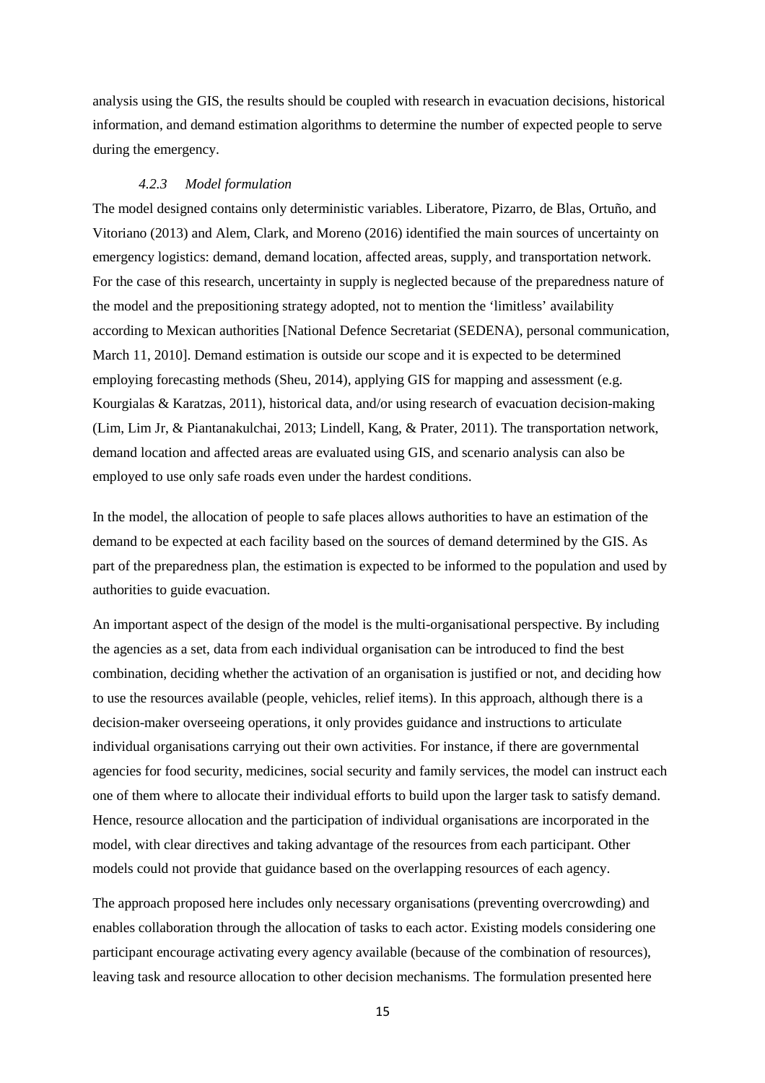analysis using the GIS, the results should be coupled with research in evacuation decisions, historical information, and demand estimation algorithms to determine the number of expected people to serve during the emergency.

#### *4.2.3 Model formulation*

The model designed contains only deterministic variables. Liberatore, Pizarro, de Blas, Ortuño, and Vitoriano (2013) and Alem, Clark, and Moreno (2016) identified the main sources of uncertainty on emergency logistics: demand, demand location, affected areas, supply, and transportation network. For the case of this research, uncertainty in supply is neglected because of the preparedness nature of the model and the prepositioning strategy adopted, not to mention the 'limitless' availability according to Mexican authorities [National Defence Secretariat (SEDENA), personal communication, March 11, 2010]. Demand estimation is outside our scope and it is expected to be determined employing forecasting methods (Sheu, 2014), applying GIS for mapping and assessment (e.g. Kourgialas & Karatzas, 2011), historical data, and/or using research of evacuation decision-making (Lim, Lim Jr, & Piantanakulchai, 2013; Lindell, Kang, & Prater, 2011). The transportation network, demand location and affected areas are evaluated using GIS, and scenario analysis can also be employed to use only safe roads even under the hardest conditions.

In the model, the allocation of people to safe places allows authorities to have an estimation of the demand to be expected at each facility based on the sources of demand determined by the GIS. As part of the preparedness plan, the estimation is expected to be informed to the population and used by authorities to guide evacuation.

An important aspect of the design of the model is the multi-organisational perspective. By including the agencies as a set, data from each individual organisation can be introduced to find the best combination, deciding whether the activation of an organisation is justified or not, and deciding how to use the resources available (people, vehicles, relief items). In this approach, although there is a decision-maker overseeing operations, it only provides guidance and instructions to articulate individual organisations carrying out their own activities. For instance, if there are governmental agencies for food security, medicines, social security and family services, the model can instruct each one of them where to allocate their individual efforts to build upon the larger task to satisfy demand. Hence, resource allocation and the participation of individual organisations are incorporated in the model, with clear directives and taking advantage of the resources from each participant. Other models could not provide that guidance based on the overlapping resources of each agency.

The approach proposed here includes only necessary organisations (preventing overcrowding) and enables collaboration through the allocation of tasks to each actor. Existing models considering one participant encourage activating every agency available (because of the combination of resources), leaving task and resource allocation to other decision mechanisms. The formulation presented here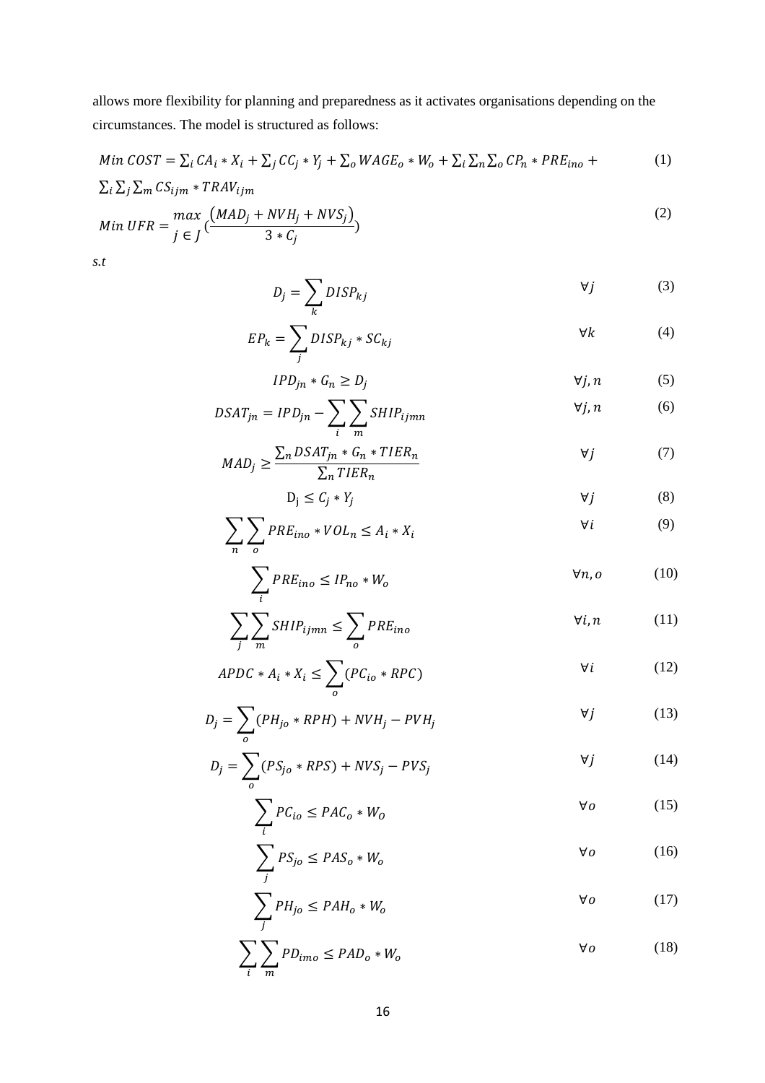allows more flexibility for planning and preparedness as it activates organisations depending on the circumstances. The model is structured as follows:

Min COST = 
$$
\sum_i CA_i * X_i + \sum_j CC_j * Y_j + \sum_o WAGE_o * W_o + \sum_i \sum_n C_n * PRE_{ino} + \sum_i \sum_j \sum_m CS_{ijm} * TRAV_{ijm}
$$
 (1)

$$
Min \, UFR = \frac{max}{j \in J} \left( \frac{(MAD_j + NVH_j + NVS_j)}{3 * C_j} \right) \tag{2}
$$

*s.t* 

$$
D_j = \sum_k DISP_{kj} \tag{3}
$$

$$
EP_k = \sum_j DISP_{kj} * SC_{kj} \qquad \qquad \forall k \tag{4}
$$

$$
IPD_{jn} * G_n \ge D_j \tag{5}
$$

$$
DSAT_{jn} = IPD_{jn} - \sum_{i} \sum_{m} SHIP_{ijmn} \qquad \qquad \forall j, n \qquad (6)
$$

$$
MAD_j \ge \frac{\sum_n DSAT_{jn} * G_n * TIER_n}{\sum_n TIER_n} \tag{7}
$$

$$
D_j \le C_j * Y_j \tag{8}
$$

$$
\sum_{n} \sum_{o} PRE_{ino} * VOL_n \le A_i * X_i
$$
  $\forall i$  (9)

$$
\sum_{i} PRE_{ino} \le IP_{no} * W_o \tag{10}
$$

$$
\sum_{j} \sum_{m} SHIP_{ijmn} \le \sum_{o} PRE_{ino} \qquad \qquad \forall i, n \tag{11}
$$

$$
APDC * A_i * X_i \le \sum_o (PC_{io} * RPC) \qquad \qquad \forall i \tag{12}
$$

$$
D_j = \sum_o (PH_{jo} * RPH) + NVH_j - PVH_j
$$
 (13)

$$
D_j = \sum_o (PS_{jo} * RPS) + NVS_j - PVS_j
$$
 (14)

$$
\sum_{i} PC_{io} \le PAC_o * W_O \tag{15}
$$

$$
\sum_{j} PS_{jo} \le PAS_o * W_o \tag{16}
$$

$$
\sum_{j} PH_{jo} \leq PAH_o * W_o \tag{17}
$$

$$
\sum_{i} \sum_{m} PD_{imo} \leq PAD_{o} * W_{o} \qquad \qquad \forall o \qquad (18)
$$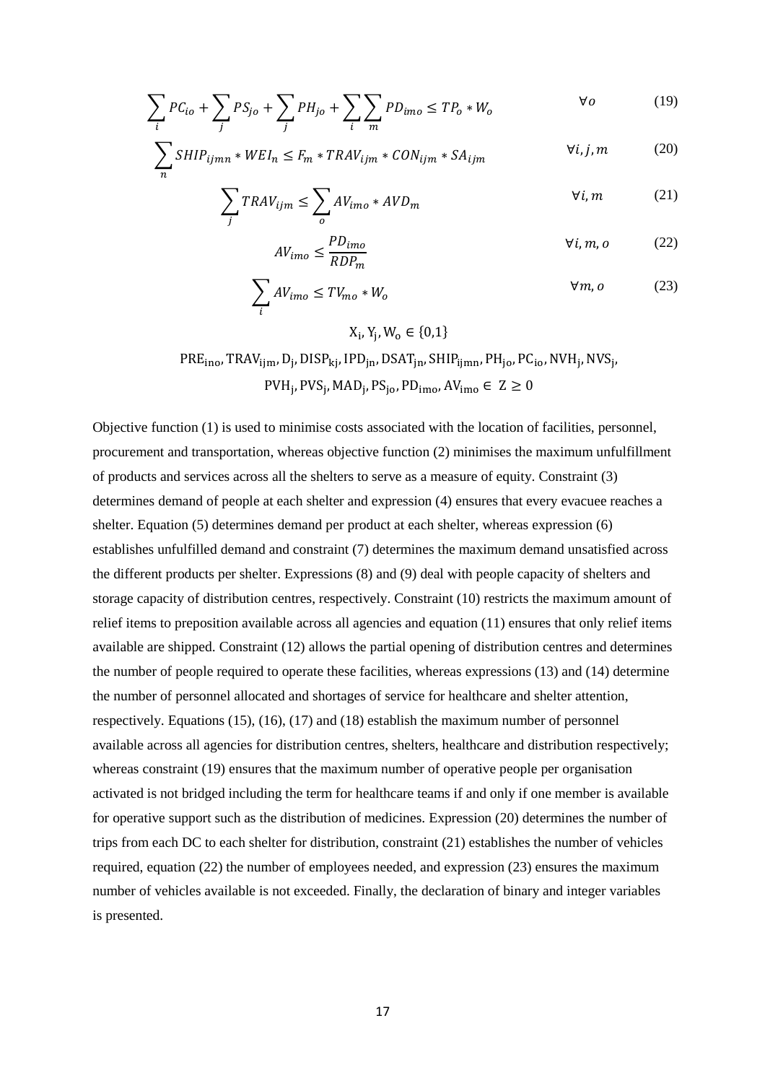$$
\sum_{i} PC_{io} + \sum_{j} PS_{jo} + \sum_{j} PH_{jo} + \sum_{i} \sum_{m} PD_{imo} \le TP_o * W_o
$$

$$
\sum_{n} SHIP_{ijmn} * WEI_n \le F_m * TRAV_{ijm} * CON_{ijm} * SA_{ijm} \qquad \forall i, j, m \qquad (20)
$$

$$
\sum_{j} TRAV_{ijm} \le \sum_{o} AV_{imo} * AVD_m \qquad \forall i, m \qquad (21)
$$

$$
AV_{imo} \le \frac{PD_{imo}}{RDP_m} \tag{22}
$$

$$
\sum_{i} AV_{imo} \le TV_{mo} * W_o \qquad \forall m, o \qquad (23)
$$

 $X_i, Y_j, W_o \in \{0,1\}$ 

PRE<sub>ino</sub>, TRAV<sub>ijm</sub>, D<sub>j</sub>, DISP<sub>kj</sub>, IPD<sub>jn</sub>, DSAT<sub>jn</sub>, SHIP<sub>ijmn</sub>, PH<sub>jo</sub>, PC<sub>io</sub>, NVH<sub>j</sub>, NVS<sub>j</sub>,  $PWH_j, PVS_j, MAD_j, PS_{jo}, PD_{imo}, AV_{imo} \in Z \geq 0$ 

Objective function (1) is used to minimise costs associated with the location of facilities, personnel, procurement and transportation, whereas objective function (2) minimises the maximum unfulfillment of products and services across all the shelters to serve as a measure of equity. Constraint (3) determines demand of people at each shelter and expression (4) ensures that every evacuee reaches a shelter. Equation (5) determines demand per product at each shelter, whereas expression (6) establishes unfulfilled demand and constraint (7) determines the maximum demand unsatisfied across the different products per shelter. Expressions (8) and (9) deal with people capacity of shelters and storage capacity of distribution centres, respectively. Constraint (10) restricts the maximum amount of relief items to preposition available across all agencies and equation (11) ensures that only relief items available are shipped. Constraint (12) allows the partial opening of distribution centres and determines the number of people required to operate these facilities, whereas expressions (13) and (14) determine the number of personnel allocated and shortages of service for healthcare and shelter attention, respectively. Equations (15), (16), (17) and (18) establish the maximum number of personnel available across all agencies for distribution centres, shelters, healthcare and distribution respectively; whereas constraint (19) ensures that the maximum number of operative people per organisation activated is not bridged including the term for healthcare teams if and only if one member is available for operative support such as the distribution of medicines. Expression (20) determines the number of trips from each DC to each shelter for distribution, constraint (21) establishes the number of vehicles required, equation (22) the number of employees needed, and expression (23) ensures the maximum number of vehicles available is not exceeded. Finally, the declaration of binary and integer variables is presented.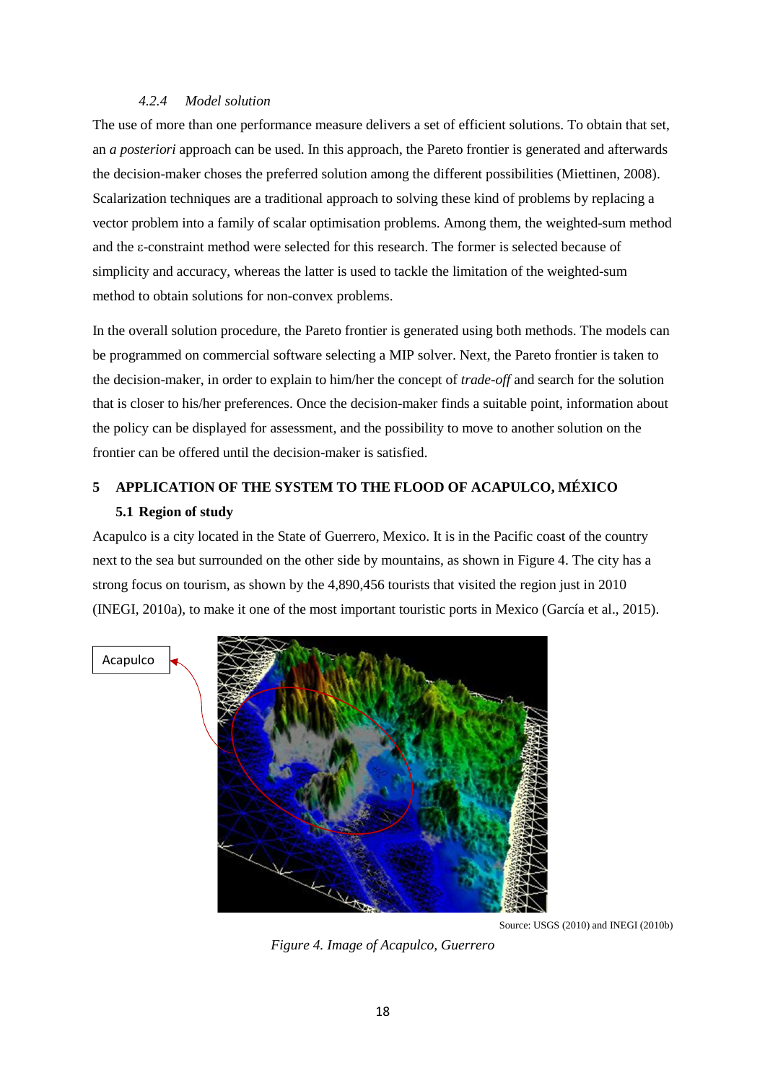## *4.2.4 Model solution*

Acapulco

The use of more than one performance measure delivers a set of efficient solutions. To obtain that set, an *a posteriori* approach can be used. In this approach, the Pareto frontier is generated and afterwards the decision-maker choses the preferred solution among the different possibilities (Miettinen, 2008). Scalarization techniques are a traditional approach to solving these kind of problems by replacing a vector problem into a family of scalar optimisation problems. Among them, the weighted-sum method and the ε-constraint method were selected for this research. The former is selected because of simplicity and accuracy, whereas the latter is used to tackle the limitation of the weighted-sum method to obtain solutions for non-convex problems.

In the overall solution procedure, the Pareto frontier is generated using both methods. The models can be programmed on commercial software selecting a MIP solver. Next, the Pareto frontier is taken to the decision-maker, in order to explain to him/her the concept of *trade-off* and search for the solution that is closer to his/her preferences. Once the decision-maker finds a suitable point, information about the policy can be displayed for assessment, and the possibility to move to another solution on the frontier can be offered until the decision-maker is satisfied.

## **5 APPLICATION OF THE SYSTEM TO THE FLOOD OF ACAPULCO, MÉXICO 5.1 Region of study**

Acapulco is a city located in the State of Guerrero, Mexico. It is in the Pacific coast of the country next to the sea but surrounded on the other side by mountains, as shown in Figure 4. The city has a strong focus on tourism, as shown by the 4,890,456 tourists that visited the region just in 2010 (INEGI, 2010a), to make it one of the most important touristic ports in Mexico (García et al., 2015).



Source: USGS (2010) and INEGI (2010b)

*Figure 4. Image of Acapulco, Guerrero*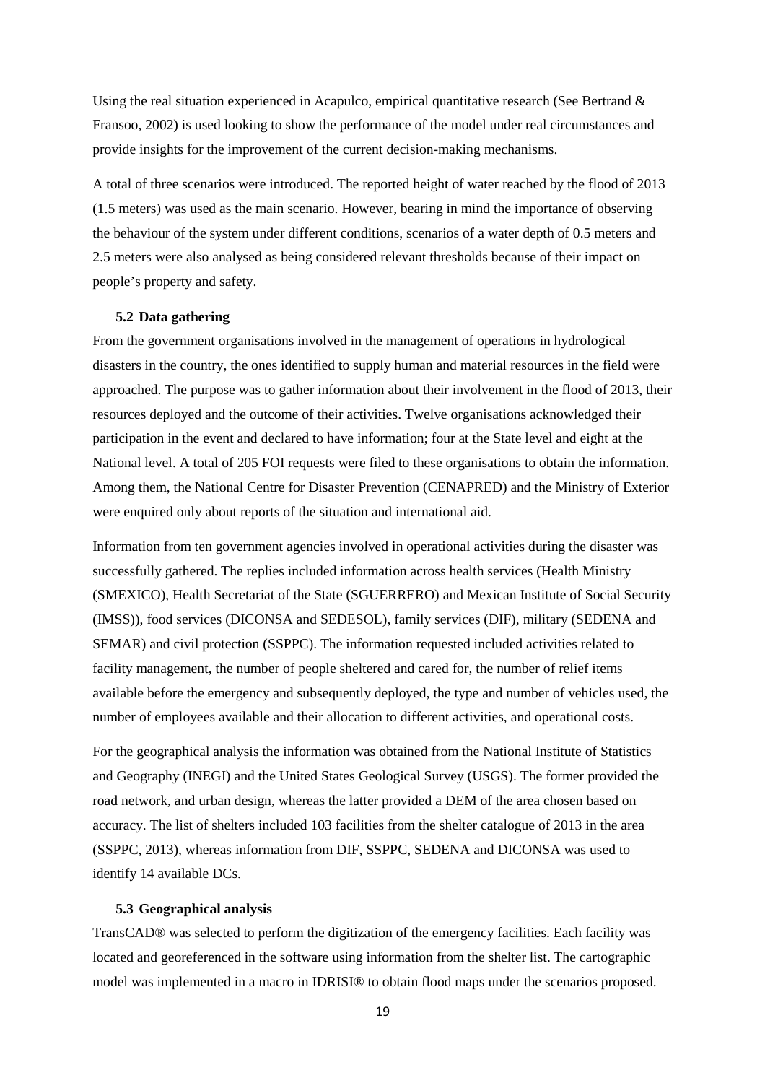Using the real situation experienced in Acapulco, empirical quantitative research (See Bertrand  $\&$ Fransoo, 2002) is used looking to show the performance of the model under real circumstances and provide insights for the improvement of the current decision-making mechanisms.

A total of three scenarios were introduced. The reported height of water reached by the flood of 2013 (1.5 meters) was used as the main scenario. However, bearing in mind the importance of observing the behaviour of the system under different conditions, scenarios of a water depth of 0.5 meters and 2.5 meters were also analysed as being considered relevant thresholds because of their impact on people's property and safety.

## **5.2 Data gathering**

From the government organisations involved in the management of operations in hydrological disasters in the country, the ones identified to supply human and material resources in the field were approached. The purpose was to gather information about their involvement in the flood of 2013, their resources deployed and the outcome of their activities. Twelve organisations acknowledged their participation in the event and declared to have information; four at the State level and eight at the National level. A total of 205 FOI requests were filed to these organisations to obtain the information. Among them, the National Centre for Disaster Prevention (CENAPRED) and the Ministry of Exterior were enquired only about reports of the situation and international aid.

Information from ten government agencies involved in operational activities during the disaster was successfully gathered. The replies included information across health services (Health Ministry (SMEXICO), Health Secretariat of the State (SGUERRERO) and Mexican Institute of Social Security (IMSS)), food services (DICONSA and SEDESOL), family services (DIF), military (SEDENA and SEMAR) and civil protection (SSPPC). The information requested included activities related to facility management, the number of people sheltered and cared for, the number of relief items available before the emergency and subsequently deployed, the type and number of vehicles used, the number of employees available and their allocation to different activities, and operational costs.

For the geographical analysis the information was obtained from the National Institute of Statistics and Geography (INEGI) and the United States Geological Survey (USGS). The former provided the road network, and urban design, whereas the latter provided a DEM of the area chosen based on accuracy. The list of shelters included 103 facilities from the shelter catalogue of 2013 in the area (SSPPC, 2013), whereas information from DIF, SSPPC, SEDENA and DICONSA was used to identify 14 available DCs.

### **5.3 Geographical analysis**

TransCAD® was selected to perform the digitization of the emergency facilities. Each facility was located and georeferenced in the software using information from the shelter list. The cartographic model was implemented in a macro in IDRISI® to obtain flood maps under the scenarios proposed.

19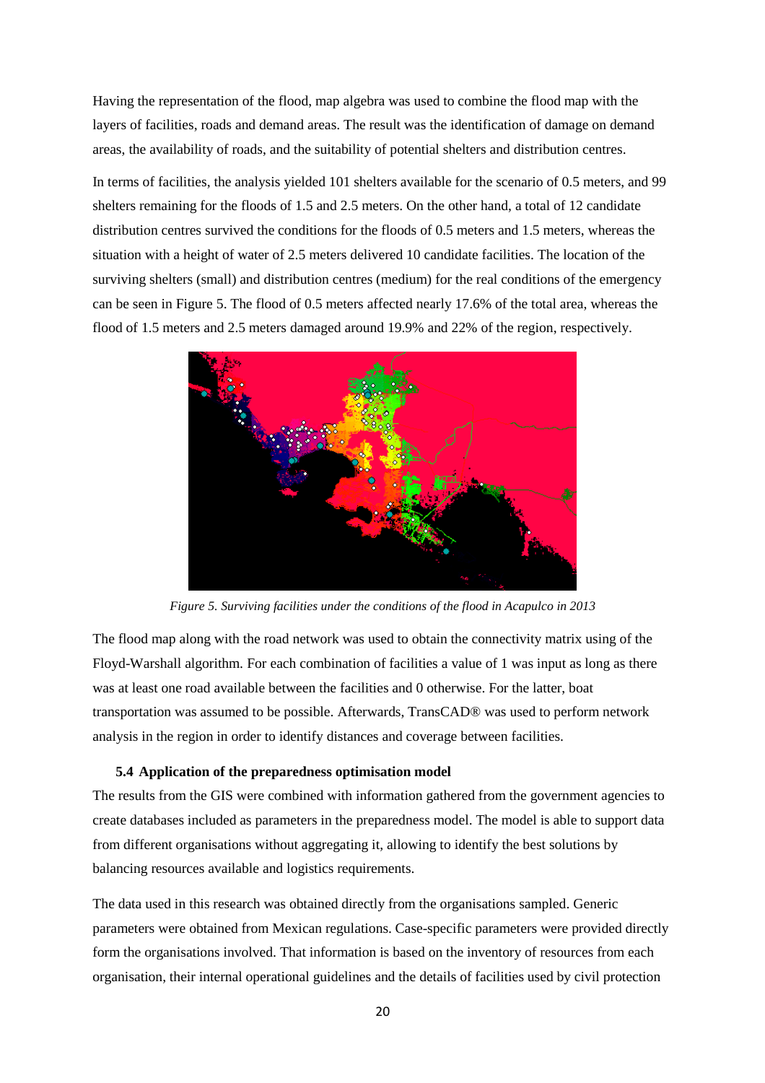Having the representation of the flood, map algebra was used to combine the flood map with the layers of facilities, roads and demand areas. The result was the identification of damage on demand areas, the availability of roads, and the suitability of potential shelters and distribution centres.

In terms of facilities, the analysis yielded 101 shelters available for the scenario of 0.5 meters, and 99 shelters remaining for the floods of 1.5 and 2.5 meters. On the other hand, a total of 12 candidate distribution centres survived the conditions for the floods of 0.5 meters and 1.5 meters, whereas the situation with a height of water of 2.5 meters delivered 10 candidate facilities. The location of the surviving shelters (small) and distribution centres (medium) for the real conditions of the emergency can be seen in Figure 5. The flood of 0.5 meters affected nearly 17.6% of the total area, whereas the flood of 1.5 meters and 2.5 meters damaged around 19.9% and 22% of the region, respectively.



*Figure 5. Surviving facilities under the conditions of the flood in Acapulco in 2013* 

The flood map along with the road network was used to obtain the connectivity matrix using of the Floyd-Warshall algorithm. For each combination of facilities a value of 1 was input as long as there was at least one road available between the facilities and 0 otherwise. For the latter, boat transportation was assumed to be possible. Afterwards, TransCAD® was used to perform network analysis in the region in order to identify distances and coverage between facilities.

## **5.4 Application of the preparedness optimisation model**

The results from the GIS were combined with information gathered from the government agencies to create databases included as parameters in the preparedness model. The model is able to support data from different organisations without aggregating it, allowing to identify the best solutions by balancing resources available and logistics requirements.

The data used in this research was obtained directly from the organisations sampled. Generic parameters were obtained from Mexican regulations. Case-specific parameters were provided directly form the organisations involved. That information is based on the inventory of resources from each organisation, their internal operational guidelines and the details of facilities used by civil protection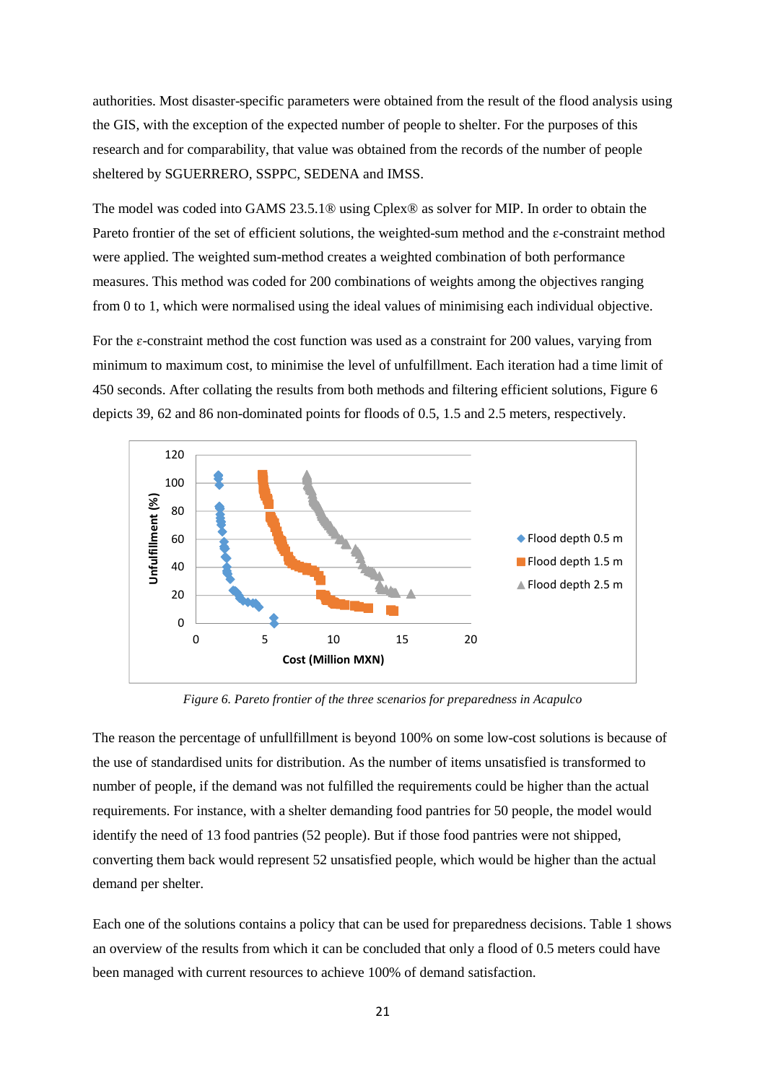authorities. Most disaster-specific parameters were obtained from the result of the flood analysis using the GIS, with the exception of the expected number of people to shelter. For the purposes of this research and for comparability, that value was obtained from the records of the number of people sheltered by SGUERRERO, SSPPC, SEDENA and IMSS.

The model was coded into GAMS 23.5.1® using Cplex® as solver for MIP. In order to obtain the Pareto frontier of the set of efficient solutions, the weighted-sum method and the  $\varepsilon$ -constraint method were applied. The weighted sum-method creates a weighted combination of both performance measures. This method was coded for 200 combinations of weights among the objectives ranging from 0 to 1, which were normalised using the ideal values of minimising each individual objective.

For the  $\varepsilon$ -constraint method the cost function was used as a constraint for 200 values, varying from minimum to maximum cost, to minimise the level of unfulfillment. Each iteration had a time limit of 450 seconds. After collating the results from both methods and filtering efficient solutions, Figure 6 depicts 39, 62 and 86 non-dominated points for floods of 0.5, 1.5 and 2.5 meters, respectively.



*Figure 6. Pareto frontier of the three scenarios for preparedness in Acapulco*

The reason the percentage of unfullfillment is beyond 100% on some low-cost solutions is because of the use of standardised units for distribution. As the number of items unsatisfied is transformed to number of people, if the demand was not fulfilled the requirements could be higher than the actual requirements. For instance, with a shelter demanding food pantries for 50 people, the model would identify the need of 13 food pantries (52 people). But if those food pantries were not shipped, converting them back would represent 52 unsatisfied people, which would be higher than the actual demand per shelter.

Each one of the solutions contains a policy that can be used for preparedness decisions. Table 1 shows an overview of the results from which it can be concluded that only a flood of 0.5 meters could have been managed with current resources to achieve 100% of demand satisfaction.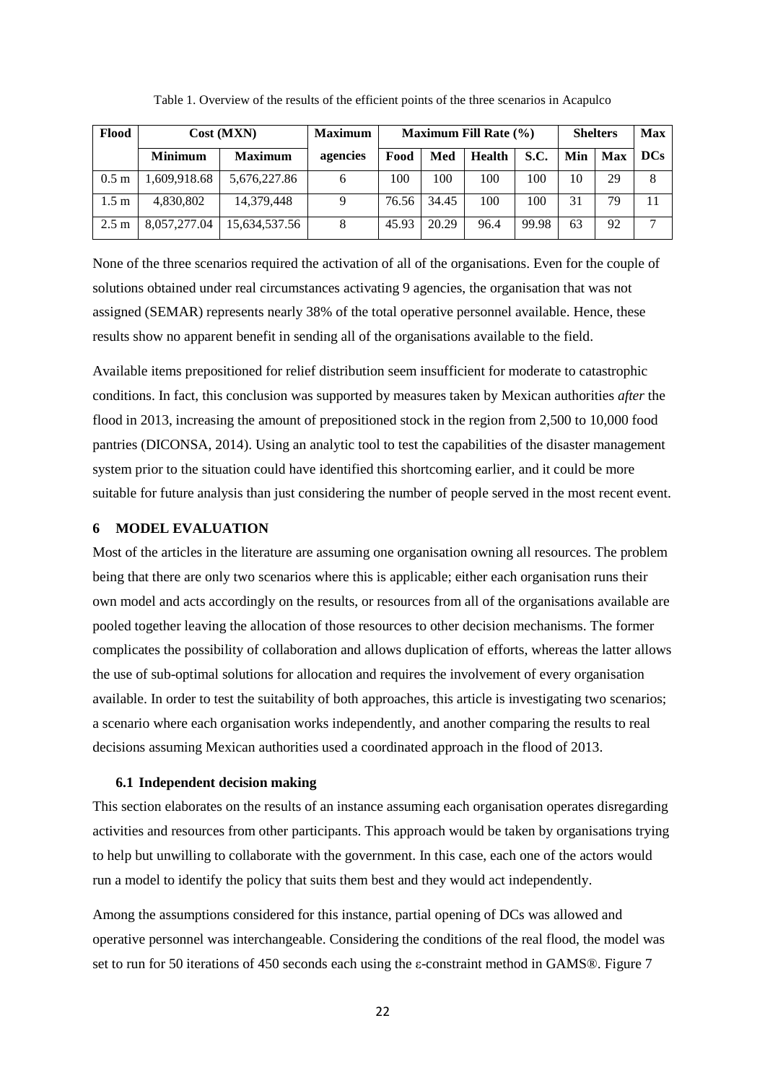| Flood            | Cost (MXN)     |                | <b>Maximum</b> | <b>Maximum Fill Rate (%)</b> |       |               |       | <b>Shelters</b> |            | <b>Max</b> |
|------------------|----------------|----------------|----------------|------------------------------|-------|---------------|-------|-----------------|------------|------------|
|                  | <b>Minimum</b> | <b>Maximum</b> | agencies       | Food                         | Med   | <b>Health</b> | S.C.  | Min             | <b>Max</b> | <b>DCs</b> |
| 0.5 <sub>m</sub> | .609,918.68    | 5,676,227.86   | 6              | 100                          | 100   | 100           | 100   | 10              | 29         | 8          |
| $1.5 \text{ m}$  | 4,830,802      | 14,379,448     |                | 76.56                        | 34.45 | 100           | 100   | 31              | 79         |            |
| $2.5 \text{ m}$  | 8,057,277.04   | 15,634,537.56  | 8              | 45.93                        | 20.29 | 96.4          | 99.98 | 63              | 92         |            |

Table 1. Overview of the results of the efficient points of the three scenarios in Acapulco

None of the three scenarios required the activation of all of the organisations. Even for the couple of solutions obtained under real circumstances activating 9 agencies, the organisation that was not assigned (SEMAR) represents nearly 38% of the total operative personnel available. Hence, these results show no apparent benefit in sending all of the organisations available to the field.

Available items prepositioned for relief distribution seem insufficient for moderate to catastrophic conditions. In fact, this conclusion was supported by measures taken by Mexican authorities *after* the flood in 2013, increasing the amount of prepositioned stock in the region from 2,500 to 10,000 food pantries (DICONSA, 2014). Using an analytic tool to test the capabilities of the disaster management system prior to the situation could have identified this shortcoming earlier, and it could be more suitable for future analysis than just considering the number of people served in the most recent event.

## **6 MODEL EVALUATION**

Most of the articles in the literature are assuming one organisation owning all resources. The problem being that there are only two scenarios where this is applicable; either each organisation runs their own model and acts accordingly on the results, or resources from all of the organisations available are pooled together leaving the allocation of those resources to other decision mechanisms. The former complicates the possibility of collaboration and allows duplication of efforts, whereas the latter allows the use of sub-optimal solutions for allocation and requires the involvement of every organisation available. In order to test the suitability of both approaches, this article is investigating two scenarios; a scenario where each organisation works independently, and another comparing the results to real decisions assuming Mexican authorities used a coordinated approach in the flood of 2013.

#### **6.1 Independent decision making**

This section elaborates on the results of an instance assuming each organisation operates disregarding activities and resources from other participants. This approach would be taken by organisations trying to help but unwilling to collaborate with the government. In this case, each one of the actors would run a model to identify the policy that suits them best and they would act independently.

Among the assumptions considered for this instance, partial opening of DCs was allowed and operative personnel was interchangeable. Considering the conditions of the real flood, the model was set to run for 50 iterations of 450 seconds each using the ε-constraint method in GAMS®. Figure 7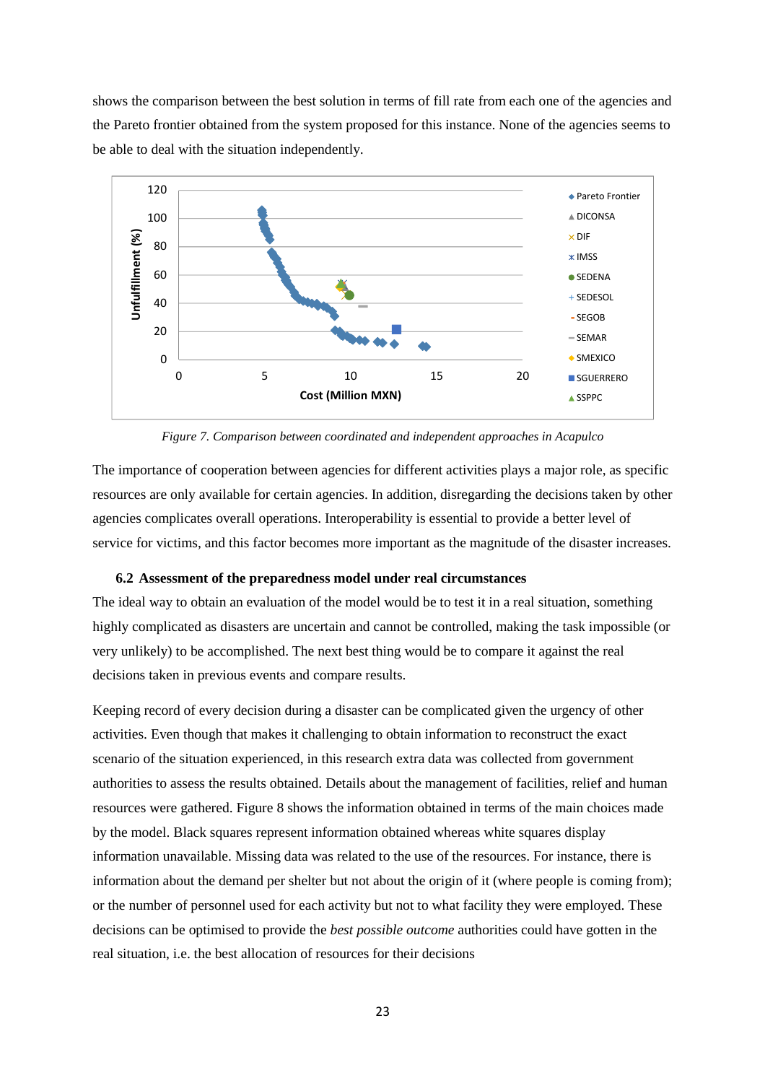shows the comparison between the best solution in terms of fill rate from each one of the agencies and the Pareto frontier obtained from the system proposed for this instance. None of the agencies seems to be able to deal with the situation independently.



*Figure 7. Comparison between coordinated and independent approaches in Acapulco* 

The importance of cooperation between agencies for different activities plays a major role, as specific resources are only available for certain agencies. In addition, disregarding the decisions taken by other agencies complicates overall operations. Interoperability is essential to provide a better level of service for victims, and this factor becomes more important as the magnitude of the disaster increases.

## **6.2 Assessment of the preparedness model under real circumstances**

The ideal way to obtain an evaluation of the model would be to test it in a real situation, something highly complicated as disasters are uncertain and cannot be controlled, making the task impossible (or very unlikely) to be accomplished. The next best thing would be to compare it against the real decisions taken in previous events and compare results.

Keeping record of every decision during a disaster can be complicated given the urgency of other activities. Even though that makes it challenging to obtain information to reconstruct the exact scenario of the situation experienced, in this research extra data was collected from government authorities to assess the results obtained. Details about the management of facilities, relief and human resources were gathered. Figure 8 shows the information obtained in terms of the main choices made by the model. Black squares represent information obtained whereas white squares display information unavailable. Missing data was related to the use of the resources. For instance, there is information about the demand per shelter but not about the origin of it (where people is coming from); or the number of personnel used for each activity but not to what facility they were employed. These decisions can be optimised to provide the *best possible outcome* authorities could have gotten in the real situation, i.e. the best allocation of resources for their decisions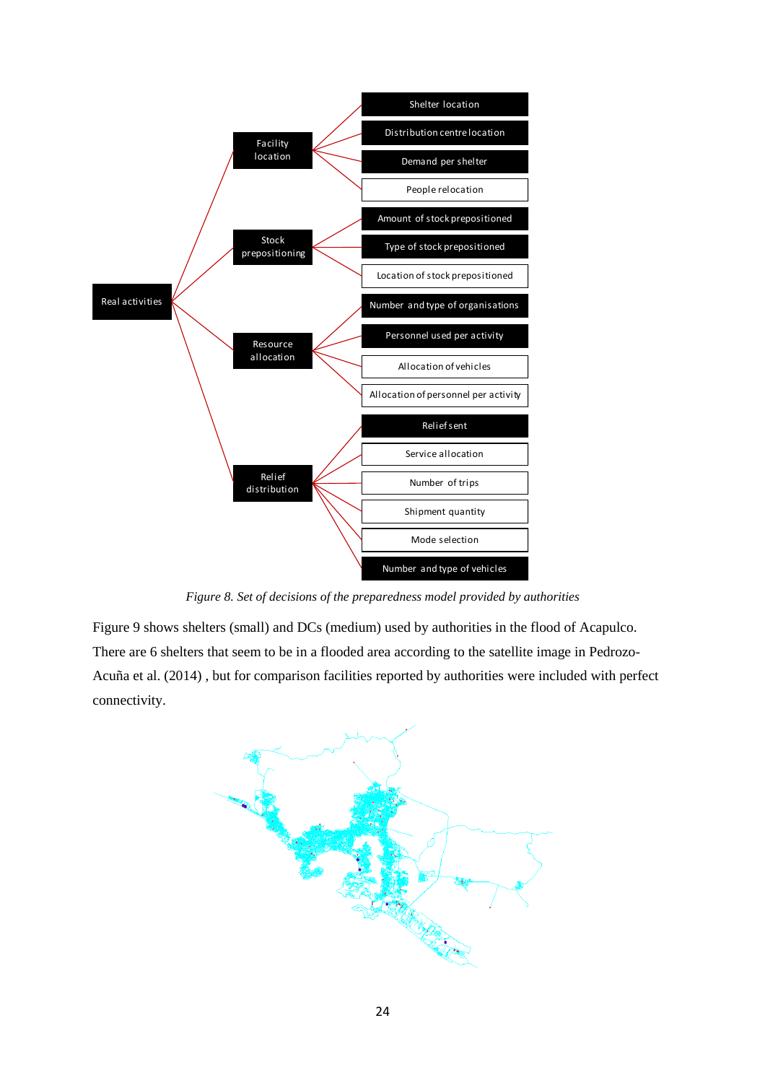

*Figure 8. Set of decisions of the preparedness model provided by authorities* 

Figure 9 shows shelters (small) and DCs (medium) used by authorities in the flood of Acapulco. There are 6 shelters that seem to be in a flooded area according to the satellite image in Pedrozo-Acuña et al. (2014) , but for comparison facilities reported by authorities were included with perfect connectivity.

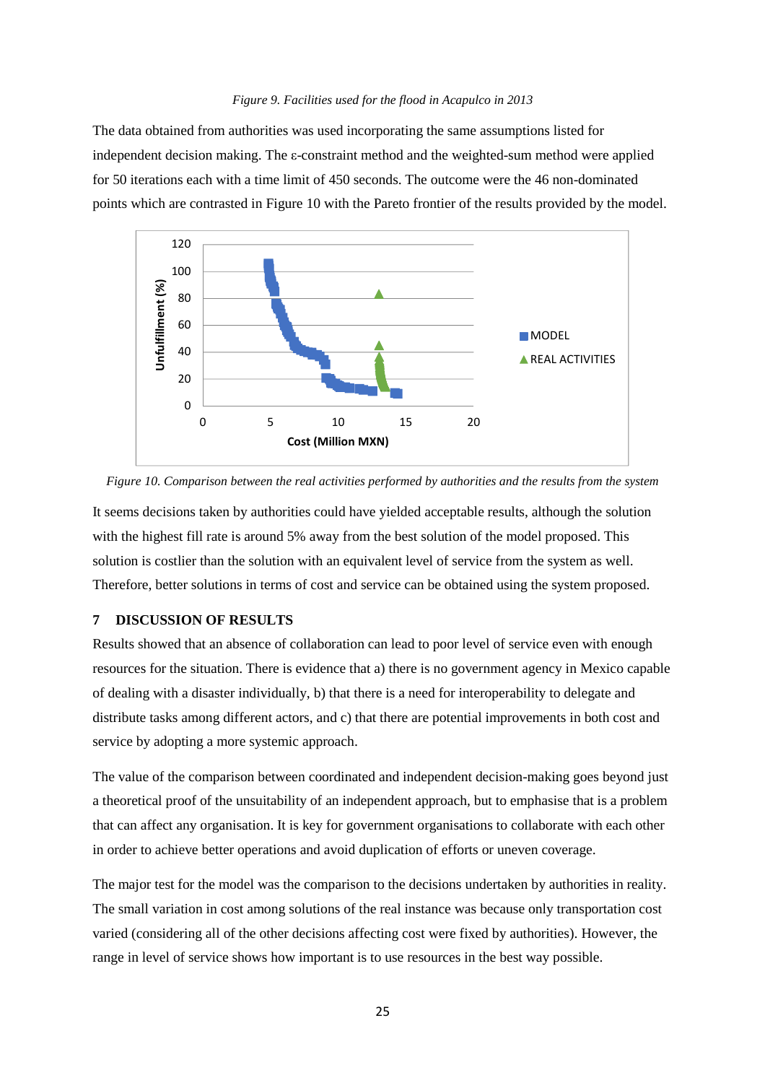### *Figure 9. Facilities used for the flood in Acapulco in 2013*

The data obtained from authorities was used incorporating the same assumptions listed for independent decision making. The ε-constraint method and the weighted-sum method were applied for 50 iterations each with a time limit of 450 seconds. The outcome were the 46 non-dominated points which are contrasted in Figure 10 with the Pareto frontier of the results provided by the model.



*Figure 10. Comparison between the real activities performed by authorities and the results from the system* 

It seems decisions taken by authorities could have yielded acceptable results, although the solution with the highest fill rate is around 5% away from the best solution of the model proposed. This solution is costlier than the solution with an equivalent level of service from the system as well. Therefore, better solutions in terms of cost and service can be obtained using the system proposed.

## **7 DISCUSSION OF RESULTS**

Results showed that an absence of collaboration can lead to poor level of service even with enough resources for the situation. There is evidence that a) there is no government agency in Mexico capable of dealing with a disaster individually, b) that there is a need for interoperability to delegate and distribute tasks among different actors, and c) that there are potential improvements in both cost and service by adopting a more systemic approach.

The value of the comparison between coordinated and independent decision-making goes beyond just a theoretical proof of the unsuitability of an independent approach, but to emphasise that is a problem that can affect any organisation. It is key for government organisations to collaborate with each other in order to achieve better operations and avoid duplication of efforts or uneven coverage.

The major test for the model was the comparison to the decisions undertaken by authorities in reality. The small variation in cost among solutions of the real instance was because only transportation cost varied (considering all of the other decisions affecting cost were fixed by authorities). However, the range in level of service shows how important is to use resources in the best way possible.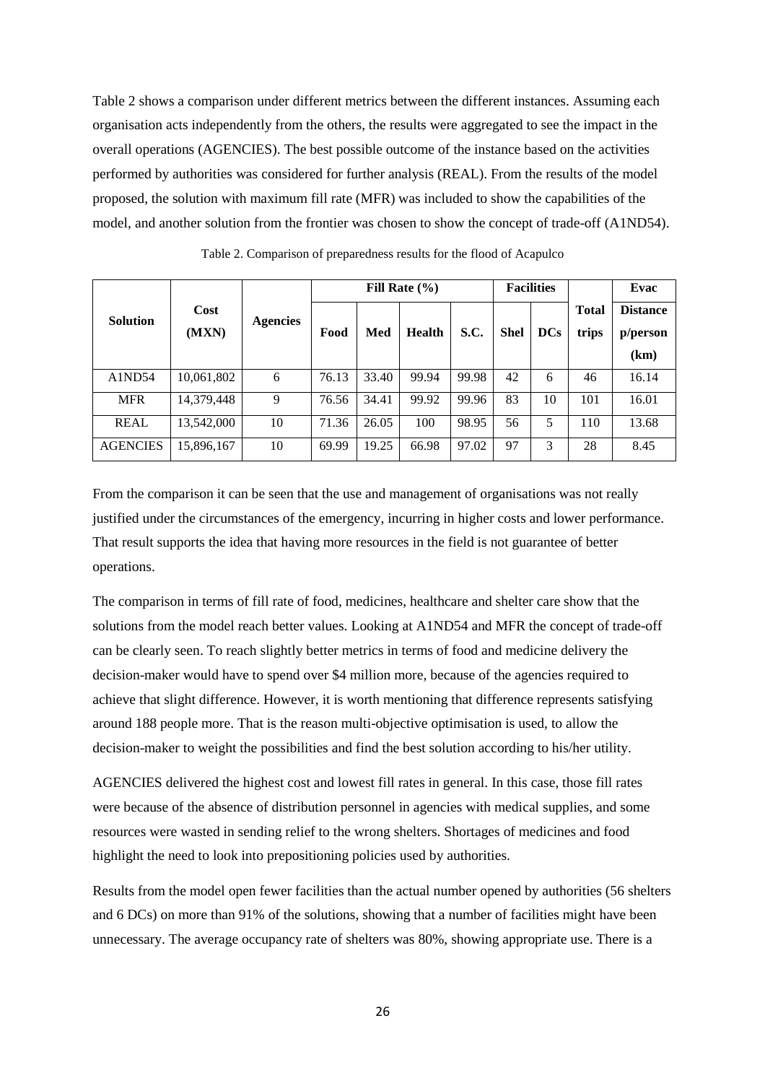Table 2 shows a comparison under different metrics between the different instances. Assuming each organisation acts independently from the others, the results were aggregated to see the impact in the overall operations (AGENCIES). The best possible outcome of the instance based on the activities performed by authorities was considered for further analysis (REAL). From the results of the model proposed, the solution with maximum fill rate (MFR) was included to show the capabilities of the model, and another solution from the frontier was chosen to show the concept of trade-off (A1ND54).

|                 |               |                 |       |       | <b>Facilities</b> |             |             | Evac       |                       |                                     |
|-----------------|---------------|-----------------|-------|-------|-------------------|-------------|-------------|------------|-----------------------|-------------------------------------|
| <b>Solution</b> | Cost<br>(MXN) | <b>Agencies</b> | Food  | Med   | <b>Health</b>     | <b>S.C.</b> | <b>Shel</b> | <b>DCs</b> | <b>Total</b><br>trips | <b>Distance</b><br>p/person<br>(km) |
| A1ND54          | 10,061,802    | 6               | 76.13 | 33.40 | 99.94             | 99.98       | 42          | 6          | 46                    | 16.14                               |
| <b>MFR</b>      | 14,379,448    | 9               | 76.56 | 34.41 | 99.92             | 99.96       | 83          | 10         | 101                   | 16.01                               |
| <b>REAL</b>     | 13,542,000    | 10              | 71.36 | 26.05 | 100               | 98.95       | 56          | 5          | 110                   | 13.68                               |
| <b>AGENCIES</b> | 15,896,167    | 10              | 69.99 | 19.25 | 66.98             | 97.02       | 97          | 3          | 28                    | 8.45                                |

Table 2. Comparison of preparedness results for the flood of Acapulco

From the comparison it can be seen that the use and management of organisations was not really justified under the circumstances of the emergency, incurring in higher costs and lower performance. That result supports the idea that having more resources in the field is not guarantee of better operations.

The comparison in terms of fill rate of food, medicines, healthcare and shelter care show that the solutions from the model reach better values. Looking at A1ND54 and MFR the concept of trade-off can be clearly seen. To reach slightly better metrics in terms of food and medicine delivery the decision-maker would have to spend over \$4 million more, because of the agencies required to achieve that slight difference. However, it is worth mentioning that difference represents satisfying around 188 people more. That is the reason multi-objective optimisation is used, to allow the decision-maker to weight the possibilities and find the best solution according to his/her utility.

AGENCIES delivered the highest cost and lowest fill rates in general. In this case, those fill rates were because of the absence of distribution personnel in agencies with medical supplies, and some resources were wasted in sending relief to the wrong shelters. Shortages of medicines and food highlight the need to look into prepositioning policies used by authorities.

Results from the model open fewer facilities than the actual number opened by authorities (56 shelters and 6 DCs) on more than 91% of the solutions, showing that a number of facilities might have been unnecessary. The average occupancy rate of shelters was 80%, showing appropriate use. There is a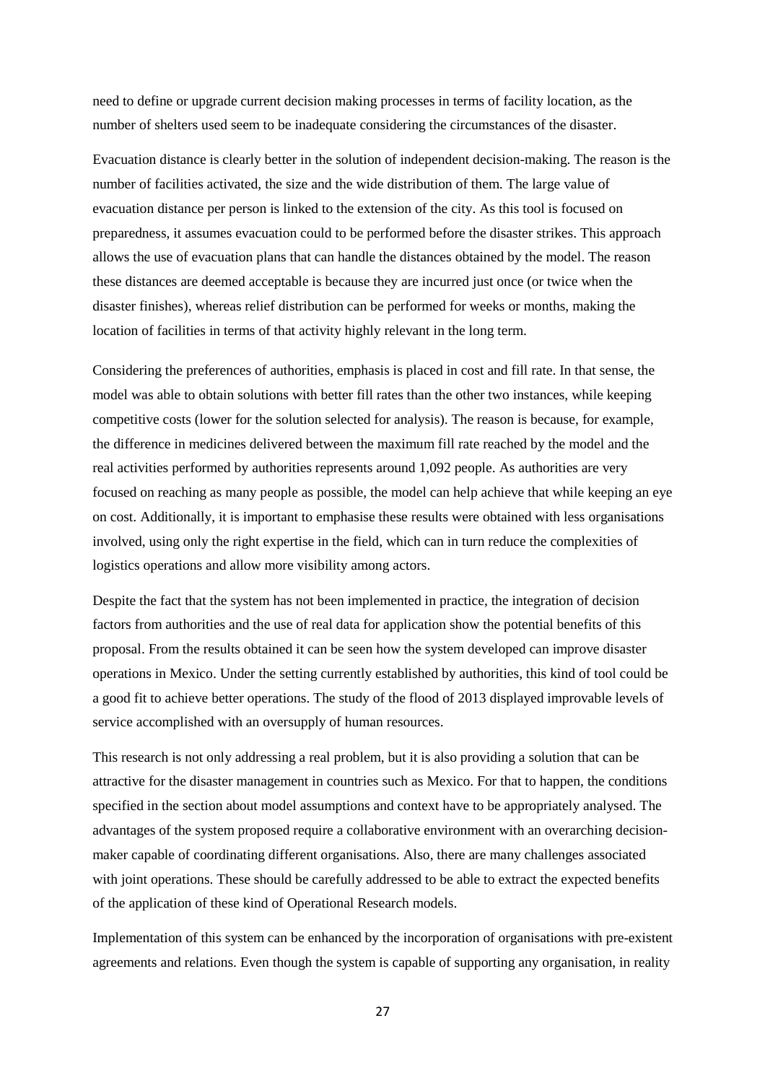need to define or upgrade current decision making processes in terms of facility location, as the number of shelters used seem to be inadequate considering the circumstances of the disaster.

Evacuation distance is clearly better in the solution of independent decision-making. The reason is the number of facilities activated, the size and the wide distribution of them. The large value of evacuation distance per person is linked to the extension of the city. As this tool is focused on preparedness, it assumes evacuation could to be performed before the disaster strikes. This approach allows the use of evacuation plans that can handle the distances obtained by the model. The reason these distances are deemed acceptable is because they are incurred just once (or twice when the disaster finishes), whereas relief distribution can be performed for weeks or months, making the location of facilities in terms of that activity highly relevant in the long term.

Considering the preferences of authorities, emphasis is placed in cost and fill rate. In that sense, the model was able to obtain solutions with better fill rates than the other two instances, while keeping competitive costs (lower for the solution selected for analysis). The reason is because, for example, the difference in medicines delivered between the maximum fill rate reached by the model and the real activities performed by authorities represents around 1,092 people. As authorities are very focused on reaching as many people as possible, the model can help achieve that while keeping an eye on cost. Additionally, it is important to emphasise these results were obtained with less organisations involved, using only the right expertise in the field, which can in turn reduce the complexities of logistics operations and allow more visibility among actors.

Despite the fact that the system has not been implemented in practice, the integration of decision factors from authorities and the use of real data for application show the potential benefits of this proposal. From the results obtained it can be seen how the system developed can improve disaster operations in Mexico. Under the setting currently established by authorities, this kind of tool could be a good fit to achieve better operations. The study of the flood of 2013 displayed improvable levels of service accomplished with an oversupply of human resources.

This research is not only addressing a real problem, but it is also providing a solution that can be attractive for the disaster management in countries such as Mexico. For that to happen, the conditions specified in the section about model assumptions and context have to be appropriately analysed. The advantages of the system proposed require a collaborative environment with an overarching decisionmaker capable of coordinating different organisations. Also, there are many challenges associated with joint operations. These should be carefully addressed to be able to extract the expected benefits of the application of these kind of Operational Research models.

Implementation of this system can be enhanced by the incorporation of organisations with pre-existent agreements and relations. Even though the system is capable of supporting any organisation, in reality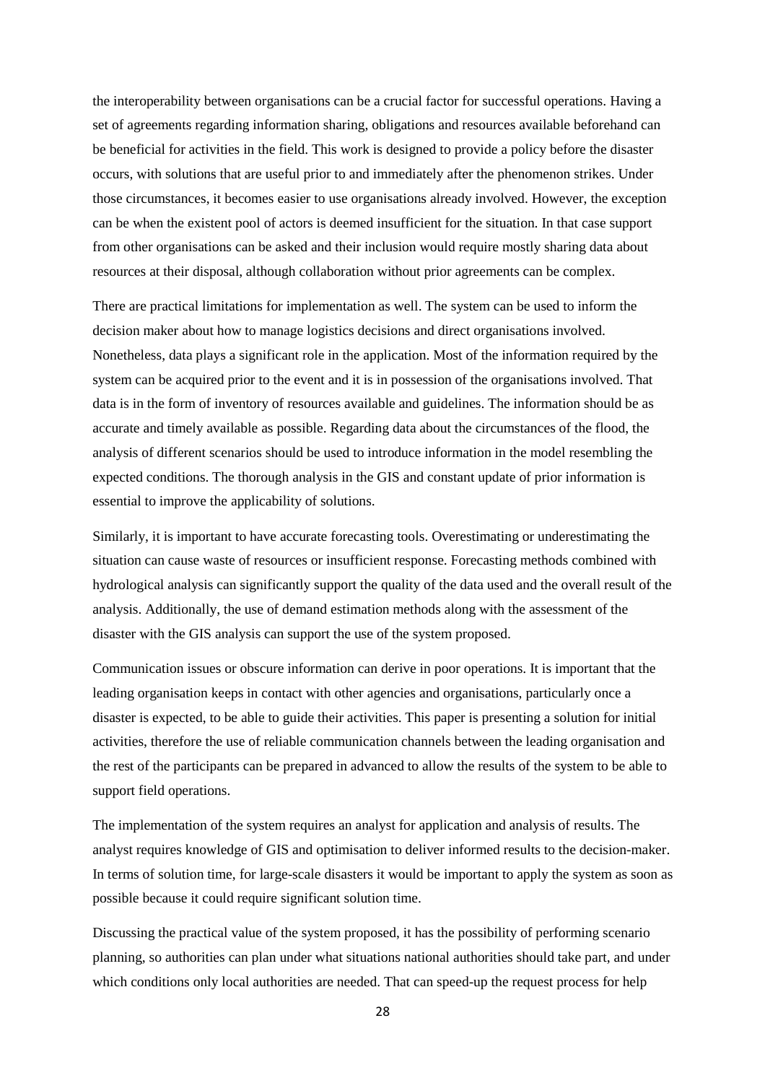the interoperability between organisations can be a crucial factor for successful operations. Having a set of agreements regarding information sharing, obligations and resources available beforehand can be beneficial for activities in the field. This work is designed to provide a policy before the disaster occurs, with solutions that are useful prior to and immediately after the phenomenon strikes. Under those circumstances, it becomes easier to use organisations already involved. However, the exception can be when the existent pool of actors is deemed insufficient for the situation. In that case support from other organisations can be asked and their inclusion would require mostly sharing data about resources at their disposal, although collaboration without prior agreements can be complex.

There are practical limitations for implementation as well. The system can be used to inform the decision maker about how to manage logistics decisions and direct organisations involved. Nonetheless, data plays a significant role in the application. Most of the information required by the system can be acquired prior to the event and it is in possession of the organisations involved. That data is in the form of inventory of resources available and guidelines. The information should be as accurate and timely available as possible. Regarding data about the circumstances of the flood, the analysis of different scenarios should be used to introduce information in the model resembling the expected conditions. The thorough analysis in the GIS and constant update of prior information is essential to improve the applicability of solutions.

Similarly, it is important to have accurate forecasting tools. Overestimating or underestimating the situation can cause waste of resources or insufficient response. Forecasting methods combined with hydrological analysis can significantly support the quality of the data used and the overall result of the analysis. Additionally, the use of demand estimation methods along with the assessment of the disaster with the GIS analysis can support the use of the system proposed.

Communication issues or obscure information can derive in poor operations. It is important that the leading organisation keeps in contact with other agencies and organisations, particularly once a disaster is expected, to be able to guide their activities. This paper is presenting a solution for initial activities, therefore the use of reliable communication channels between the leading organisation and the rest of the participants can be prepared in advanced to allow the results of the system to be able to support field operations.

The implementation of the system requires an analyst for application and analysis of results. The analyst requires knowledge of GIS and optimisation to deliver informed results to the decision-maker. In terms of solution time, for large-scale disasters it would be important to apply the system as soon as possible because it could require significant solution time.

Discussing the practical value of the system proposed, it has the possibility of performing scenario planning, so authorities can plan under what situations national authorities should take part, and under which conditions only local authorities are needed. That can speed-up the request process for help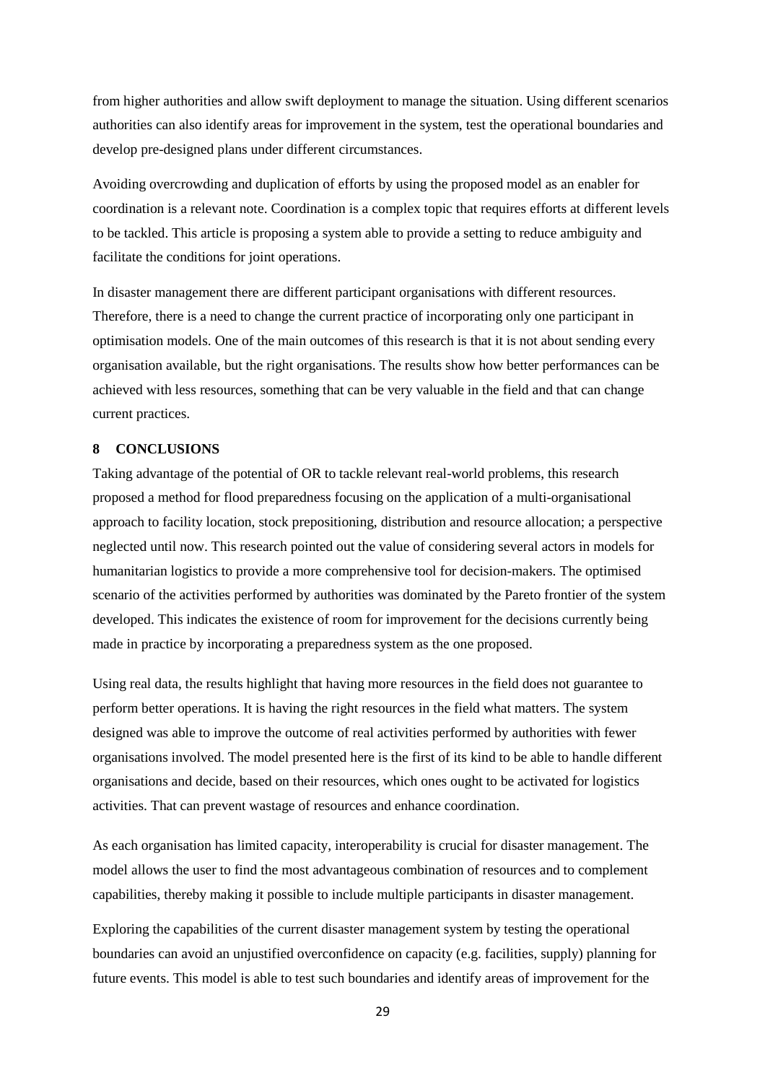from higher authorities and allow swift deployment to manage the situation. Using different scenarios authorities can also identify areas for improvement in the system, test the operational boundaries and develop pre-designed plans under different circumstances.

Avoiding overcrowding and duplication of efforts by using the proposed model as an enabler for coordination is a relevant note. Coordination is a complex topic that requires efforts at different levels to be tackled. This article is proposing a system able to provide a setting to reduce ambiguity and facilitate the conditions for joint operations.

In disaster management there are different participant organisations with different resources. Therefore, there is a need to change the current practice of incorporating only one participant in optimisation models. One of the main outcomes of this research is that it is not about sending every organisation available, but the right organisations. The results show how better performances can be achieved with less resources, something that can be very valuable in the field and that can change current practices.

## **8 CONCLUSIONS**

Taking advantage of the potential of OR to tackle relevant real-world problems, this research proposed a method for flood preparedness focusing on the application of a multi-organisational approach to facility location, stock prepositioning, distribution and resource allocation; a perspective neglected until now. This research pointed out the value of considering several actors in models for humanitarian logistics to provide a more comprehensive tool for decision-makers. The optimised scenario of the activities performed by authorities was dominated by the Pareto frontier of the system developed. This indicates the existence of room for improvement for the decisions currently being made in practice by incorporating a preparedness system as the one proposed.

Using real data, the results highlight that having more resources in the field does not guarantee to perform better operations. It is having the right resources in the field what matters. The system designed was able to improve the outcome of real activities performed by authorities with fewer organisations involved. The model presented here is the first of its kind to be able to handle different organisations and decide, based on their resources, which ones ought to be activated for logistics activities. That can prevent wastage of resources and enhance coordination.

As each organisation has limited capacity, interoperability is crucial for disaster management. The model allows the user to find the most advantageous combination of resources and to complement capabilities, thereby making it possible to include multiple participants in disaster management.

Exploring the capabilities of the current disaster management system by testing the operational boundaries can avoid an unjustified overconfidence on capacity (e.g. facilities, supply) planning for future events. This model is able to test such boundaries and identify areas of improvement for the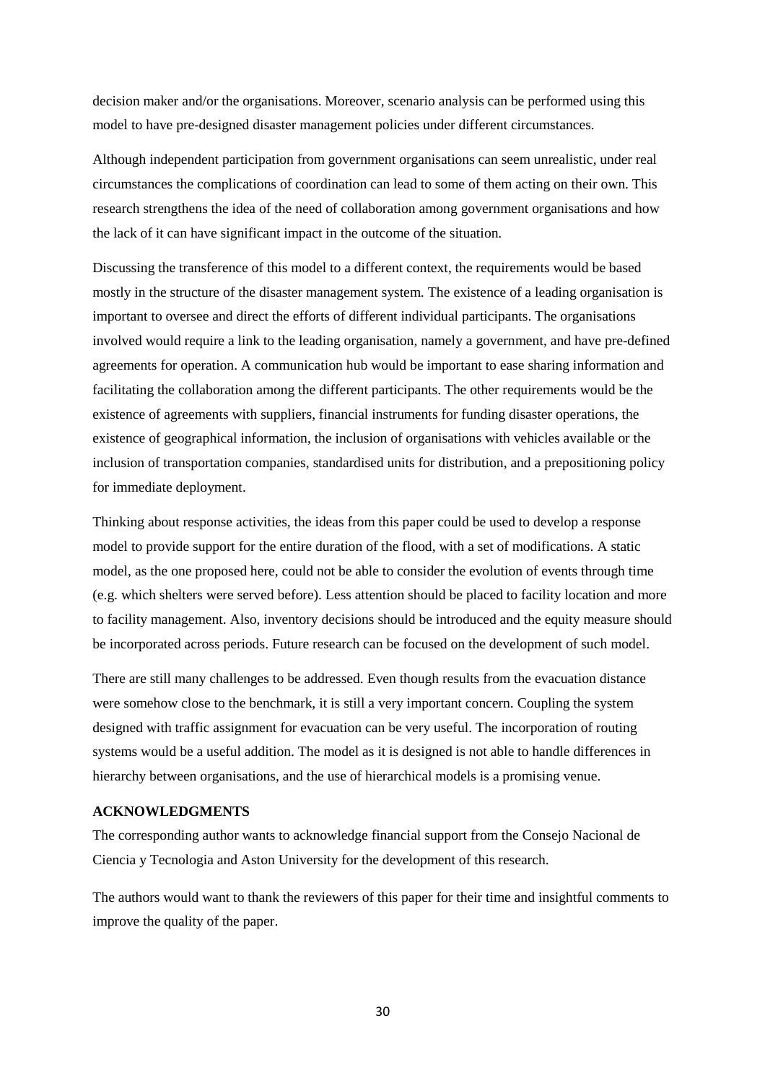decision maker and/or the organisations. Moreover, scenario analysis can be performed using this model to have pre-designed disaster management policies under different circumstances.

Although independent participation from government organisations can seem unrealistic, under real circumstances the complications of coordination can lead to some of them acting on their own. This research strengthens the idea of the need of collaboration among government organisations and how the lack of it can have significant impact in the outcome of the situation.

Discussing the transference of this model to a different context, the requirements would be based mostly in the structure of the disaster management system. The existence of a leading organisation is important to oversee and direct the efforts of different individual participants. The organisations involved would require a link to the leading organisation, namely a government, and have pre-defined agreements for operation. A communication hub would be important to ease sharing information and facilitating the collaboration among the different participants. The other requirements would be the existence of agreements with suppliers, financial instruments for funding disaster operations, the existence of geographical information, the inclusion of organisations with vehicles available or the inclusion of transportation companies, standardised units for distribution, and a prepositioning policy for immediate deployment.

Thinking about response activities, the ideas from this paper could be used to develop a response model to provide support for the entire duration of the flood, with a set of modifications. A static model, as the one proposed here, could not be able to consider the evolution of events through time (e.g. which shelters were served before). Less attention should be placed to facility location and more to facility management. Also, inventory decisions should be introduced and the equity measure should be incorporated across periods. Future research can be focused on the development of such model.

There are still many challenges to be addressed. Even though results from the evacuation distance were somehow close to the benchmark, it is still a very important concern. Coupling the system designed with traffic assignment for evacuation can be very useful. The incorporation of routing systems would be a useful addition. The model as it is designed is not able to handle differences in hierarchy between organisations, and the use of hierarchical models is a promising venue.

## **ACKNOWLEDGMENTS**

The corresponding author wants to acknowledge financial support from the Consejo Nacional de Ciencia y Tecnologia and Aston University for the development of this research.

The authors would want to thank the reviewers of this paper for their time and insightful comments to improve the quality of the paper.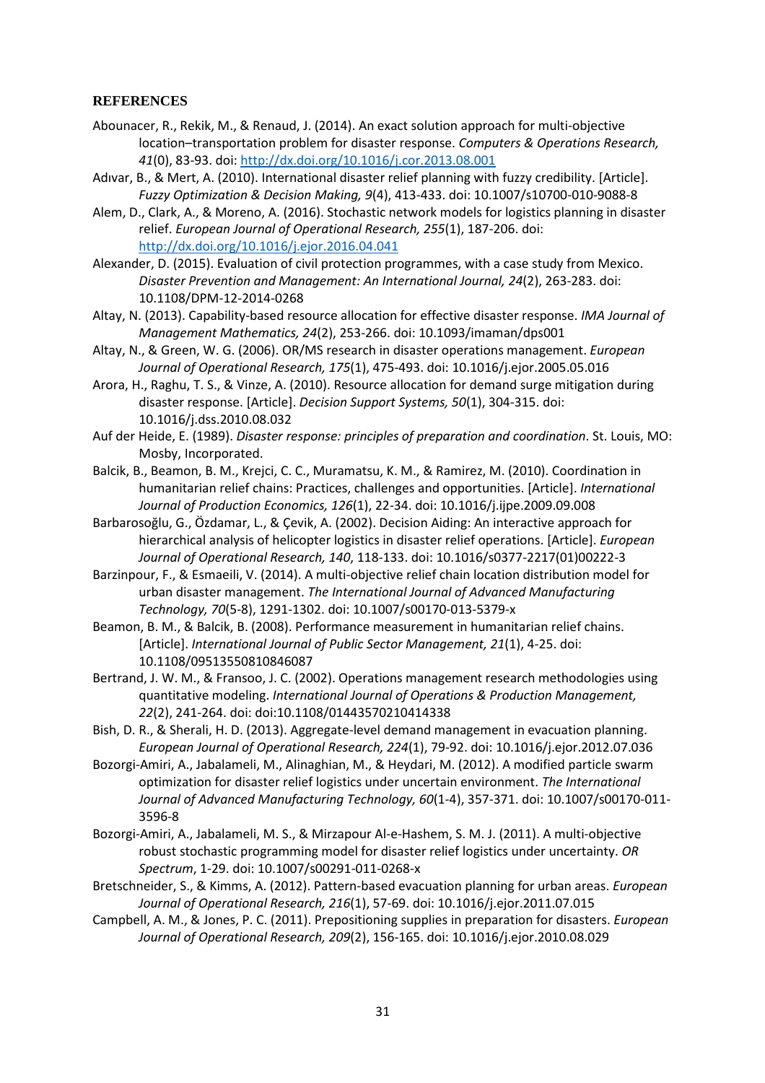## **REFERENCES**

- Abounacer, R., Rekik, M., & Renaud, J. (2014). An exact solution approach for multi-objective location–transportation problem for disaster response. *Computers & Operations Research, 41*(0), 83-93. doi: http://dx.doi.org/10.1016/j.cor.2013.08.001
- Adıvar, B., & Mert, A. (2010). International disaster relief planning with fuzzy credibility. [Article]. *Fuzzy Optimization & Decision Making, 9*(4), 413-433. doi: 10.1007/s10700-010-9088-8
- Alem, D., Clark, A., & Moreno, A. (2016). Stochastic network models for logistics planning in disaster relief. *European Journal of Operational Research, 255*(1), 187-206. doi: http://dx.doi.org/10.1016/j.ejor.2016.04.041
- Alexander, D. (2015). Evaluation of civil protection programmes, with a case study from Mexico. *Disaster Prevention and Management: An International Journal, 24*(2), 263-283. doi: 10.1108/DPM-12-2014-0268
- Altay, N. (2013). Capability-based resource allocation for effective disaster response. *IMA Journal of Management Mathematics, 24*(2), 253-266. doi: 10.1093/imaman/dps001
- Altay, N., & Green, W. G. (2006). OR/MS research in disaster operations management. *European Journal of Operational Research, 175*(1), 475-493. doi: 10.1016/j.ejor.2005.05.016
- Arora, H., Raghu, T. S., & Vinze, A. (2010). Resource allocation for demand surge mitigation during disaster response. [Article]. *Decision Support Systems, 50*(1), 304-315. doi: 10.1016/j.dss.2010.08.032
- Auf der Heide, E. (1989). *Disaster response: principles of preparation and coordination*. St. Louis, MO: Mosby, Incorporated.
- Balcik, B., Beamon, B. M., Krejci, C. C., Muramatsu, K. M., & Ramirez, M. (2010). Coordination in humanitarian relief chains: Practices, challenges and opportunities. [Article]. *International Journal of Production Economics, 126*(1), 22-34. doi: 10.1016/j.ijpe.2009.09.008
- Barbarosoğlu, G., Özdamar, L., & Çevik, A. (2002). Decision Aiding: An interactive approach for hierarchical analysis of helicopter logistics in disaster relief operations. [Article]. *European Journal of Operational Research, 140*, 118-133. doi: 10.1016/s0377-2217(01)00222-3
- Barzinpour, F., & Esmaeili, V. (2014). A multi-objective relief chain location distribution model for urban disaster management. *The International Journal of Advanced Manufacturing Technology, 70*(5-8), 1291-1302. doi: 10.1007/s00170-013-5379-x

Beamon, B. M., & Balcik, B. (2008). Performance measurement in humanitarian relief chains. [Article]. *International Journal of Public Sector Management, 21*(1), 4-25. doi: 10.1108/09513550810846087

- Bertrand, J. W. M., & Fransoo, J. C. (2002). Operations management research methodologies using quantitative modeling. *International Journal of Operations & Production Management, 22*(2), 241-264. doi: doi:10.1108/01443570210414338
- Bish, D. R., & Sherali, H. D. (2013). Aggregate-level demand management in evacuation planning. *European Journal of Operational Research, 224*(1), 79-92. doi: 10.1016/j.ejor.2012.07.036
- Bozorgi-Amiri, A., Jabalameli, M., Alinaghian, M., & Heydari, M. (2012). A modified particle swarm optimization for disaster relief logistics under uncertain environment. *The International Journal of Advanced Manufacturing Technology, 60*(1-4), 357-371. doi: 10.1007/s00170-011- 3596-8
- Bozorgi-Amiri, A., Jabalameli, M. S., & Mirzapour Al-e-Hashem, S. M. J. (2011). A multi-objective robust stochastic programming model for disaster relief logistics under uncertainty. *OR Spectrum*, 1-29. doi: 10.1007/s00291-011-0268-x
- Bretschneider, S., & Kimms, A. (2012). Pattern-based evacuation planning for urban areas. *European Journal of Operational Research, 216*(1), 57-69. doi: 10.1016/j.ejor.2011.07.015
- Campbell, A. M., & Jones, P. C. (2011). Prepositioning supplies in preparation for disasters. *European Journal of Operational Research, 209*(2), 156-165. doi: 10.1016/j.ejor.2010.08.029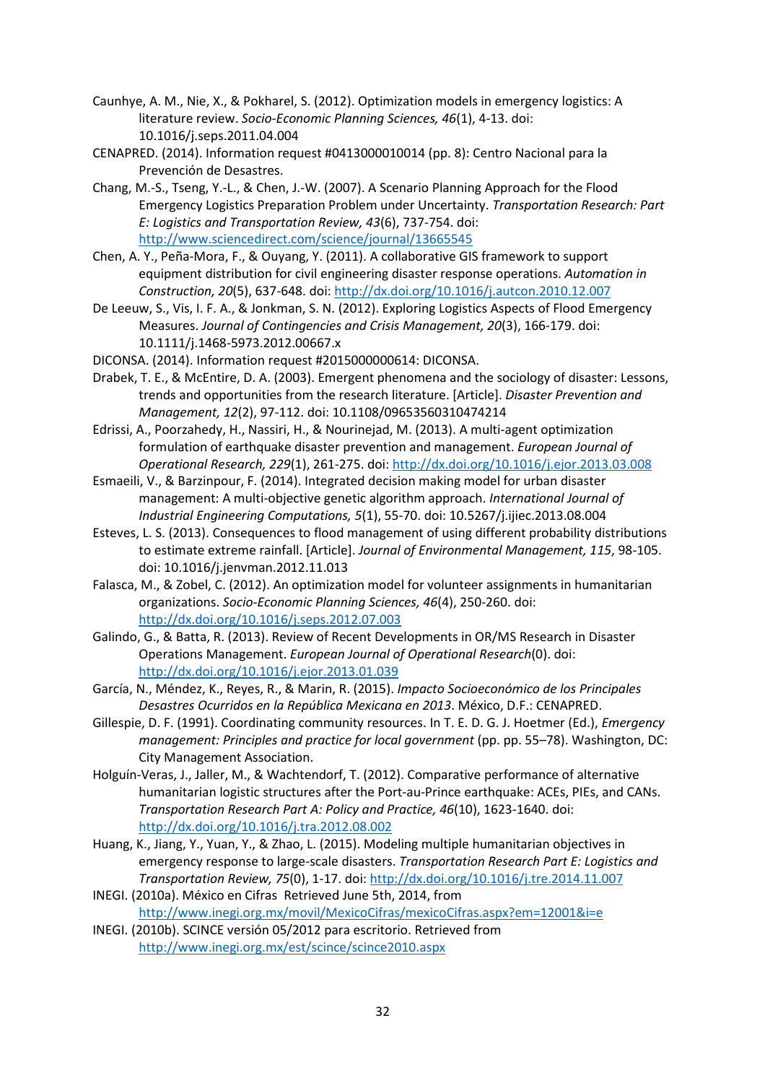- Caunhye, A. M., Nie, X., & Pokharel, S. (2012). Optimization models in emergency logistics: A literature review. *Socio-Economic Planning Sciences, 46*(1), 4-13. doi: 10.1016/j.seps.2011.04.004
- CENAPRED. (2014). Information request #0413000010014 (pp. 8): Centro Nacional para la Prevención de Desastres.
- Chang, M.-S., Tseng, Y.-L., & Chen, J.-W. (2007). A Scenario Planning Approach for the Flood Emergency Logistics Preparation Problem under Uncertainty. *Transportation Research: Part E: Logistics and Transportation Review, 43*(6), 737-754. doi: http://www.sciencedirect.com/science/journal/13665545
- Chen, A. Y., Peña-Mora, F., & Ouyang, Y. (2011). A collaborative GIS framework to support equipment distribution for civil engineering disaster response operations. *Automation in Construction, 20*(5), 637-648. doi: http://dx.doi.org/10.1016/j.autcon.2010.12.007
- De Leeuw, S., Vis, I. F. A., & Jonkman, S. N. (2012). Exploring Logistics Aspects of Flood Emergency Measures. *Journal of Contingencies and Crisis Management, 20*(3), 166-179. doi: 10.1111/j.1468-5973.2012.00667.x
- DICONSA. (2014). Information request #2015000000614: DICONSA.
- Drabek, T. E., & McEntire, D. A. (2003). Emergent phenomena and the sociology of disaster: Lessons, trends and opportunities from the research literature. [Article]. *Disaster Prevention and Management, 12*(2), 97-112. doi: 10.1108/09653560310474214
- Edrissi, A., Poorzahedy, H., Nassiri, H., & Nourinejad, M. (2013). A multi-agent optimization formulation of earthquake disaster prevention and management. *European Journal of Operational Research, 229*(1), 261-275. doi: http://dx.doi.org/10.1016/j.ejor.2013.03.008
- Esmaeili, V., & Barzinpour, F. (2014). Integrated decision making model for urban disaster management: A multi-objective genetic algorithm approach. *International Journal of Industrial Engineering Computations, 5*(1), 55-70. doi: 10.5267/j.ijiec.2013.08.004
- Esteves, L. S. (2013). Consequences to flood management of using different probability distributions to estimate extreme rainfall. [Article]. *Journal of Environmental Management, 115*, 98-105. doi: 10.1016/j.jenvman.2012.11.013
- Falasca, M., & Zobel, C. (2012). An optimization model for volunteer assignments in humanitarian organizations. *Socio-Economic Planning Sciences, 46*(4), 250-260. doi: http://dx.doi.org/10.1016/j.seps.2012.07.003
- Galindo, G., & Batta, R. (2013). Review of Recent Developments in OR/MS Research in Disaster Operations Management. *European Journal of Operational Research*(0). doi: http://dx.doi.org/10.1016/j.ejor.2013.01.039
- García, N., Méndez, K., Reyes, R., & Marin, R. (2015). *Impacto Socioeconómico de los Principales Desastres Ocurridos en la República Mexicana en 2013*. México, D.F.: CENAPRED.
- Gillespie, D. F. (1991). Coordinating community resources. In T. E. D. G. J. Hoetmer (Ed.), *Emergency management: Principles and practice for local government* (pp. pp. 55–78). Washington, DC: City Management Association.
- Holguín-Veras, J., Jaller, M., & Wachtendorf, T. (2012). Comparative performance of alternative humanitarian logistic structures after the Port-au-Prince earthquake: ACEs, PIEs, and CANs. *Transportation Research Part A: Policy and Practice, 46*(10), 1623-1640. doi: http://dx.doi.org/10.1016/j.tra.2012.08.002
- Huang, K., Jiang, Y., Yuan, Y., & Zhao, L. (2015). Modeling multiple humanitarian objectives in emergency response to large-scale disasters. *Transportation Research Part E: Logistics and Transportation Review, 75*(0), 1-17. doi: http://dx.doi.org/10.1016/j.tre.2014.11.007
- INEGI. (2010a). México en Cifras Retrieved June 5th, 2014, from http://www.inegi.org.mx/movil/MexicoCifras/mexicoCifras.aspx?em=12001&i=e
- INEGI. (2010b). SCINCE versión 05/2012 para escritorio. Retrieved from http://www.inegi.org.mx/est/scince/scince2010.aspx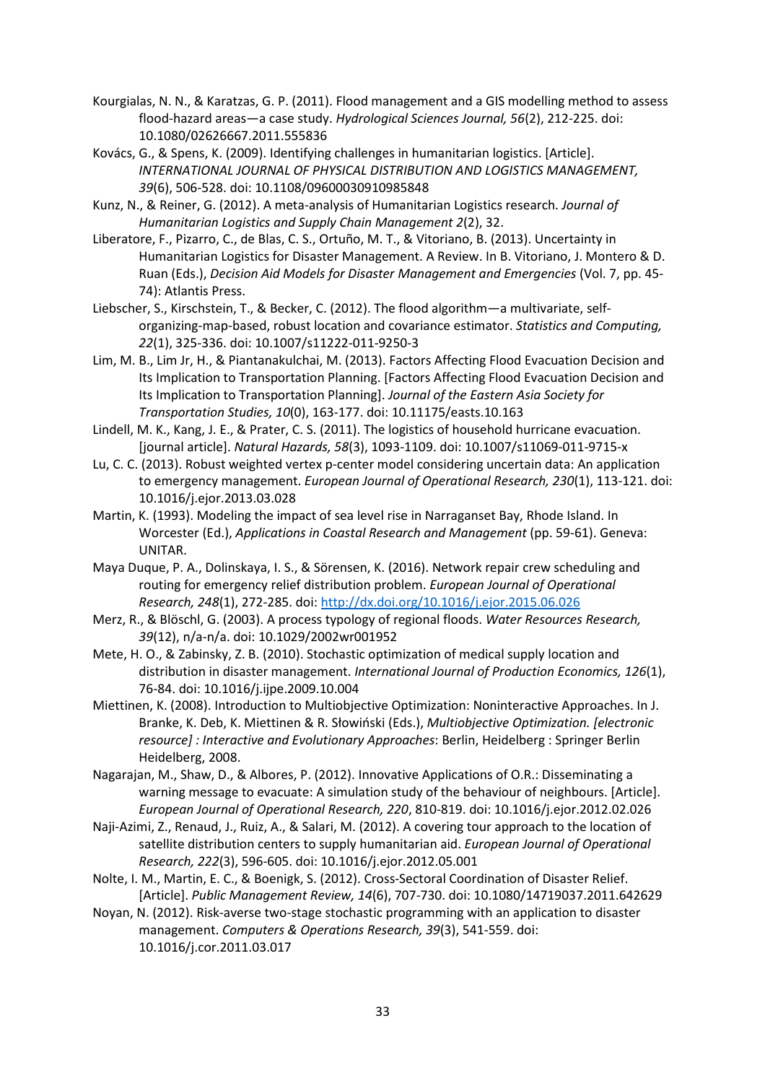- Kourgialas, N. N., & Karatzas, G. P. (2011). Flood management and a GIS modelling method to assess flood-hazard areas—a case study. *Hydrological Sciences Journal, 56*(2), 212-225. doi: 10.1080/02626667.2011.555836
- Kovács, G., & Spens, K. (2009). Identifying challenges in humanitarian logistics. [Article]. *INTERNATIONAL JOURNAL OF PHYSICAL DISTRIBUTION AND LOGISTICS MANAGEMENT, 39*(6), 506-528. doi: 10.1108/09600030910985848
- Kunz, N., & Reiner, G. (2012). A meta-analysis of Humanitarian Logistics research. *Journal of Humanitarian Logistics and Supply Chain Management 2*(2), 32.
- Liberatore, F., Pizarro, C., de Blas, C. S., Ortuño, M. T., & Vitoriano, B. (2013). Uncertainty in Humanitarian Logistics for Disaster Management. A Review. In B. Vitoriano, J. Montero & D. Ruan (Eds.), *Decision Aid Models for Disaster Management and Emergencies* (Vol. 7, pp. 45- 74): Atlantis Press.
- Liebscher, S., Kirschstein, T., & Becker, C. (2012). The flood algorithm—a multivariate, selforganizing-map-based, robust location and covariance estimator. *Statistics and Computing, 22*(1), 325-336. doi: 10.1007/s11222-011-9250-3
- Lim, M. B., Lim Jr, H., & Piantanakulchai, M. (2013). Factors Affecting Flood Evacuation Decision and Its Implication to Transportation Planning. [Factors Affecting Flood Evacuation Decision and Its Implication to Transportation Planning]. *Journal of the Eastern Asia Society for Transportation Studies, 10*(0), 163-177. doi: 10.11175/easts.10.163
- Lindell, M. K., Kang, J. E., & Prater, C. S. (2011). The logistics of household hurricane evacuation. [journal article]. *Natural Hazards, 58*(3), 1093-1109. doi: 10.1007/s11069-011-9715-x
- Lu, C. C. (2013). Robust weighted vertex p-center model considering uncertain data: An application to emergency management. *European Journal of Operational Research, 230*(1), 113-121. doi: 10.1016/j.ejor.2013.03.028
- Martin, K. (1993). Modeling the impact of sea level rise in Narraganset Bay, Rhode Island. In Worcester (Ed.), *Applications in Coastal Research and Management* (pp. 59-61). Geneva: UNITAR.
- Maya Duque, P. A., Dolinskaya, I. S., & Sörensen, K. (2016). Network repair crew scheduling and routing for emergency relief distribution problem. *European Journal of Operational Research, 248*(1), 272-285. doi: http://dx.doi.org/10.1016/j.ejor.2015.06.026
- Merz, R., & Blöschl, G. (2003). A process typology of regional floods. *Water Resources Research, 39*(12), n/a-n/a. doi: 10.1029/2002wr001952
- Mete, H. O., & Zabinsky, Z. B. (2010). Stochastic optimization of medical supply location and distribution in disaster management. *International Journal of Production Economics, 126*(1), 76-84. doi: 10.1016/j.ijpe.2009.10.004
- Miettinen, K. (2008). Introduction to Multiobjective Optimization: Noninteractive Approaches. In J. Branke, K. Deb, K. Miettinen & R. Słowiński (Eds.), *Multiobjective Optimization. [electronic resource] : Interactive and Evolutionary Approaches*: Berlin, Heidelberg : Springer Berlin Heidelberg, 2008.
- Nagarajan, M., Shaw, D., & Albores, P. (2012). Innovative Applications of O.R.: Disseminating a warning message to evacuate: A simulation study of the behaviour of neighbours. [Article]. *European Journal of Operational Research, 220*, 810-819. doi: 10.1016/j.ejor.2012.02.026
- Naji-Azimi, Z., Renaud, J., Ruiz, A., & Salari, M. (2012). A covering tour approach to the location of satellite distribution centers to supply humanitarian aid. *European Journal of Operational Research, 222*(3), 596-605. doi: 10.1016/j.ejor.2012.05.001
- Nolte, I. M., Martin, E. C., & Boenigk, S. (2012). Cross-Sectoral Coordination of Disaster Relief. [Article]. *Public Management Review, 14*(6), 707-730. doi: 10.1080/14719037.2011.642629
- Noyan, N. (2012). Risk-averse two-stage stochastic programming with an application to disaster management. *Computers & Operations Research, 39*(3), 541-559. doi: 10.1016/j.cor.2011.03.017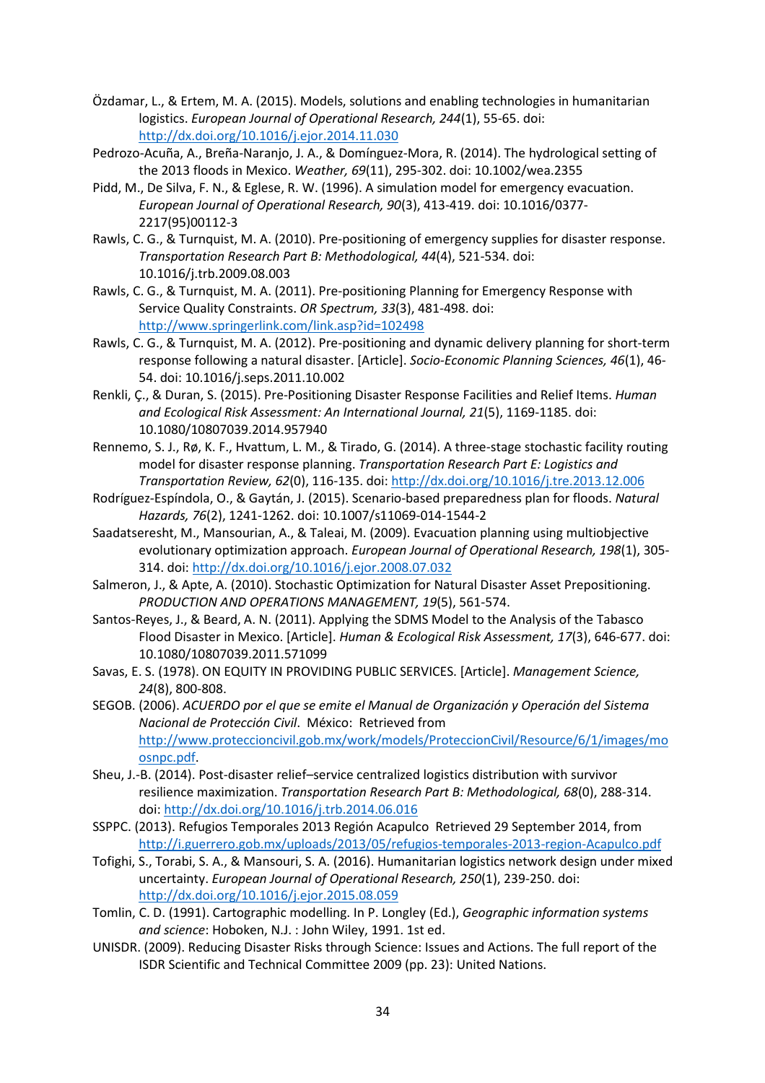- Özdamar, L., & Ertem, M. A. (2015). Models, solutions and enabling technologies in humanitarian logistics. *European Journal of Operational Research, 244*(1), 55-65. doi: http://dx.doi.org/10.1016/j.ejor.2014.11.030
- Pedrozo-Acuña, A., Breña-Naranjo, J. A., & Domínguez-Mora, R. (2014). The hydrological setting of the 2013 floods in Mexico. *Weather, 69*(11), 295-302. doi: 10.1002/wea.2355
- Pidd, M., De Silva, F. N., & Eglese, R. W. (1996). A simulation model for emergency evacuation. *European Journal of Operational Research, 90*(3), 413-419. doi: 10.1016/0377- 2217(95)00112-3
- Rawls, C. G., & Turnquist, M. A. (2010). Pre-positioning of emergency supplies for disaster response. *Transportation Research Part B: Methodological, 44*(4), 521-534. doi: 10.1016/j.trb.2009.08.003
- Rawls, C. G., & Turnquist, M. A. (2011). Pre-positioning Planning for Emergency Response with Service Quality Constraints. *OR Spectrum, 33*(3), 481-498. doi: http://www.springerlink.com/link.asp?id=102498
- Rawls, C. G., & Turnquist, M. A. (2012). Pre-positioning and dynamic delivery planning for short-term response following a natural disaster. [Article]. *Socio-Economic Planning Sciences, 46*(1), 46- 54. doi: 10.1016/j.seps.2011.10.002
- Renkli, Ç., & Duran, S. (2015). Pre-Positioning Disaster Response Facilities and Relief Items. *Human and Ecological Risk Assessment: An International Journal, 21*(5), 1169-1185. doi: 10.1080/10807039.2014.957940
- Rennemo, S. J., Rø, K. F., Hvattum, L. M., & Tirado, G. (2014). A three-stage stochastic facility routing model for disaster response planning. *Transportation Research Part E: Logistics and Transportation Review, 62*(0), 116-135. doi: http://dx.doi.org/10.1016/j.tre.2013.12.006
- Rodríguez-Espíndola, O., & Gaytán, J. (2015). Scenario-based preparedness plan for floods. *Natural Hazards, 76*(2), 1241-1262. doi: 10.1007/s11069-014-1544-2
- Saadatseresht, M., Mansourian, A., & Taleai, M. (2009). Evacuation planning using multiobjective evolutionary optimization approach. *European Journal of Operational Research, 198*(1), 305- 314. doi: http://dx.doi.org/10.1016/j.ejor.2008.07.032
- Salmeron, J., & Apte, A. (2010). Stochastic Optimization for Natural Disaster Asset Prepositioning. *PRODUCTION AND OPERATIONS MANAGEMENT, 19*(5), 561-574.
- Santos-Reyes, J., & Beard, A. N. (2011). Applying the SDMS Model to the Analysis of the Tabasco Flood Disaster in Mexico. [Article]. *Human & Ecological Risk Assessment, 17*(3), 646-677. doi: 10.1080/10807039.2011.571099
- Savas, E. S. (1978). ON EQUITY IN PROVIDING PUBLIC SERVICES. [Article]. *Management Science, 24*(8), 800-808.
- SEGOB. (2006). *ACUERDO por el que se emite el Manual de Organización y Operación del Sistema Nacional de Protección Civil*. México: Retrieved from http://www.proteccioncivil.gob.mx/work/models/ProteccionCivil/Resource/6/1/images/mo osnpc.pdf.
- Sheu, J.-B. (2014). Post-disaster relief–service centralized logistics distribution with survivor resilience maximization. *Transportation Research Part B: Methodological, 68*(0), 288-314. doi: http://dx.doi.org/10.1016/j.trb.2014.06.016
- SSPPC. (2013). Refugios Temporales 2013 Región Acapulco Retrieved 29 September 2014, from http://i.guerrero.gob.mx/uploads/2013/05/refugios-temporales-2013-region-Acapulco.pdf
- Tofighi, S., Torabi, S. A., & Mansouri, S. A. (2016). Humanitarian logistics network design under mixed uncertainty. *European Journal of Operational Research, 250*(1), 239-250. doi: http://dx.doi.org/10.1016/j.ejor.2015.08.059
- Tomlin, C. D. (1991). Cartographic modelling. In P. Longley (Ed.), *Geographic information systems and science*: Hoboken, N.J. : John Wiley, 1991. 1st ed.
- UNISDR. (2009). Reducing Disaster Risks through Science: Issues and Actions. The full report of the ISDR Scientific and Technical Committee 2009 (pp. 23): United Nations.